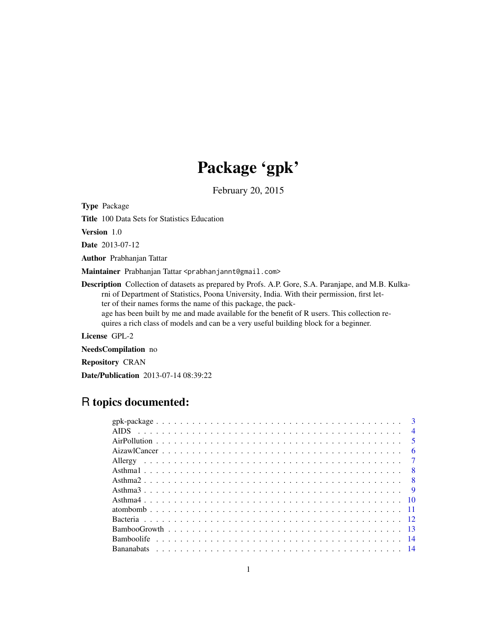# Package 'gpk'

February 20, 2015

Type Package

Title 100 Data Sets for Statistics Education

Version 1.0

Date 2013-07-12

Author Prabhanjan Tattar

Maintainer Prabhanjan Tattar <prabhanjannt@gmail.com>

Description Collection of datasets as prepared by Profs. A.P. Gore, S.A. Paranjape, and M.B. Kulkarni of Department of Statistics, Poona University, India. With their permission, first letter of their names forms the name of this package, the pack-

age has been built by me and made available for the benefit of R users. This collection requires a rich class of models and can be a very useful building block for a beginner.

License GPL-2

NeedsCompilation no

Repository CRAN

Date/Publication 2013-07-14 08:39:22

# R topics documented:

| $\overline{4}$ |  |
|----------------|--|
|                |  |
| - 6            |  |
|                |  |
|                |  |
|                |  |
|                |  |
|                |  |
|                |  |
|                |  |
|                |  |
|                |  |
|                |  |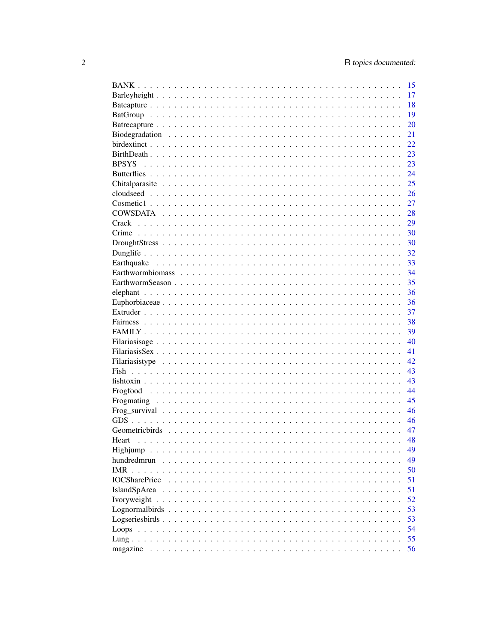|                         | 15 |
|-------------------------|----|
|                         | 17 |
|                         | 18 |
|                         | 19 |
|                         | 20 |
|                         | 21 |
|                         | 22 |
|                         | 23 |
| <b>BPSYS</b>            | 23 |
|                         | 24 |
|                         | 25 |
|                         | 26 |
|                         | 27 |
|                         | 28 |
|                         | 29 |
|                         | 30 |
|                         | 30 |
|                         | 32 |
|                         | 33 |
|                         | 34 |
|                         | 35 |
|                         | 36 |
|                         |    |
|                         | 36 |
|                         | 37 |
|                         | 38 |
|                         | 39 |
|                         | 40 |
|                         | 41 |
|                         | 42 |
|                         | 43 |
|                         | 43 |
|                         | 44 |
|                         | 45 |
|                         | 46 |
|                         | 46 |
|                         | 47 |
| Heart                   | 48 |
|                         | 49 |
| hundredmrun             | 49 |
| <b>IMR</b>              | 50 |
| <b>IOCSharePrice</b>    | 51 |
| <b>IslandSpArea</b>     | 51 |
| Ivoryweight<br>$\ddots$ | 52 |
|                         | 53 |
|                         | 53 |
|                         | 54 |
|                         | 55 |
| magazine                | 56 |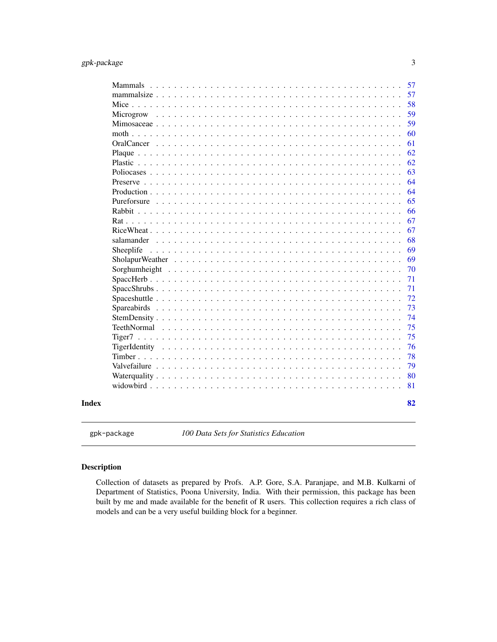<span id="page-2-0"></span>

|             | 57 |
|-------------|----|
|             | 57 |
|             | 58 |
| Microgrow   | 59 |
|             | 59 |
|             | 60 |
|             | 61 |
|             | 62 |
| Plastic     | 62 |
| Poliocases  | 63 |
|             | 64 |
|             | 64 |
| Pureforsure | 65 |
|             | 66 |
|             | 67 |
|             | 67 |
| salamander  | 68 |
| Sheeplife   | 69 |
|             | 69 |
|             | 70 |
|             | 71 |
|             | 71 |
|             | 72 |
|             | 73 |
|             | 74 |
|             | 75 |
|             | 75 |
|             | 76 |
|             | 78 |
|             | 79 |
|             | 80 |
|             | 81 |
|             | 82 |

gpk-package *100 Data Sets for Statistics Education*

# Description

Collection of datasets as prepared by Profs. A.P. Gore, S.A. Paranjape, and M.B. Kulkarni of Department of Statistics, Poona University, India. With their permission, this package has been built by me and made available for the benefit of R users. This collection requires a rich class of models and can be a very useful building block for a beginner.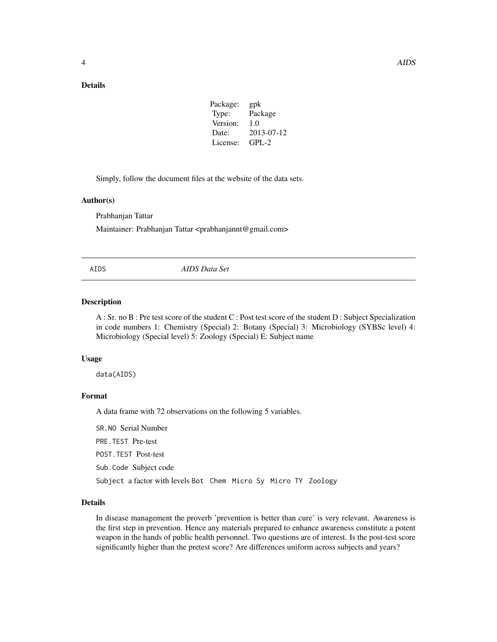# <span id="page-3-0"></span>Details

| Package: | gpk        |
|----------|------------|
| Type:    | Package    |
| Version: | 1.0        |
| Date:    | 2013-07-12 |
| License: | $GPI - 2$  |
|          |            |

Simply, follow the document files at the website of the data sets.

#### Author(s)

Prabhanjan Tattar

Maintainer: Prabhanjan Tattar <prabhanjannt@gmail.com>

AIDS *AIDS Data Set*

#### Description

A : Sr. no B : Pre test score of the student C : Post test score of the student D : Subject Specialization in code numbers 1: Chemistry (Special) 2: Botany (Special) 3: Microbiology (SYBSc level) 4: Microbiology (Special level) 5: Zoology (Special) E: Subject name

#### Usage

data(AIDS)

# Format

A data frame with 72 observations on the following 5 variables.

SR.NO Serial Number

PRE.TEST Pre-test

POST.TEST Post-test

Sub.Code Subject code

Subject a factor with levels Bot Chem Micro Sy Micro TY Zoology

#### Details

In disease management the proverb 'prevention is better than cure' is very relevant. Awareness is the first step in prevention. Hence any materials prepared to enhance awareness constitute a potent weapon in the hands of public health personnel. Two questions are of interest. Is the post-test score significantly higher than the pretest score? Are differences uniform across subjects and years?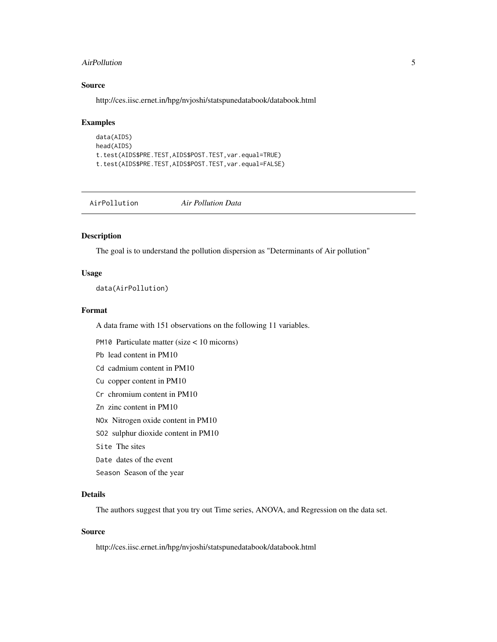#### <span id="page-4-0"></span>AirPollution 5

# Source

http://ces.iisc.ernet.in/hpg/nvjoshi/statspunedatabook/databook.html

#### Examples

```
data(AIDS)
head(AIDS)
t.test(AIDS$PRE.TEST,AIDS$POST.TEST,var.equal=TRUE)
t.test(AIDS$PRE.TEST,AIDS$POST.TEST,var.equal=FALSE)
```
AirPollution *Air Pollution Data*

# Description

The goal is to understand the pollution dispersion as "Determinants of Air pollution"

## Usage

data(AirPollution)

#### Format

A data frame with 151 observations on the following 11 variables.

PM10 Particulate matter (size < 10 micorns)

Pb lead content in PM10

Cd cadmium content in PM10

- Cu copper content in PM10
- Cr chromium content in PM10
- Zn zinc content in PM10

NOx Nitrogen oxide content in PM10

SO2 sulphur dioxide content in PM10

Site The sites

Date dates of the event

Season Season of the year

# Details

The authors suggest that you try out Time series, ANOVA, and Regression on the data set.

# Source

http://ces.iisc.ernet.in/hpg/nvjoshi/statspunedatabook/databook.html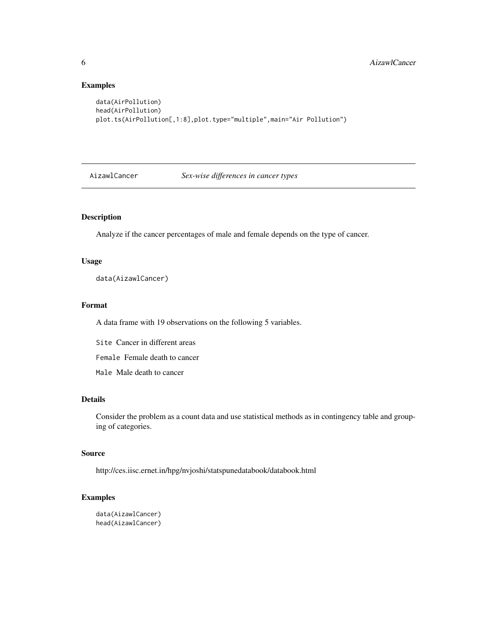# Examples

```
data(AirPollution)
head(AirPollution)
plot.ts(AirPollution[,1:8],plot.type="multiple",main="Air Pollution")
```
AizawlCancer *Sex-wise differences in cancer types*

# Description

Analyze if the cancer percentages of male and female depends on the type of cancer.

#### Usage

data(AizawlCancer)

# Format

A data frame with 19 observations on the following 5 variables.

Site Cancer in different areas

Female Female death to cancer

Male Male death to cancer

# Details

Consider the problem as a count data and use statistical methods as in contingency table and grouping of categories.

#### Source

http://ces.iisc.ernet.in/hpg/nvjoshi/statspunedatabook/databook.html

# Examples

```
data(AizawlCancer)
head(AizawlCancer)
```
<span id="page-5-0"></span>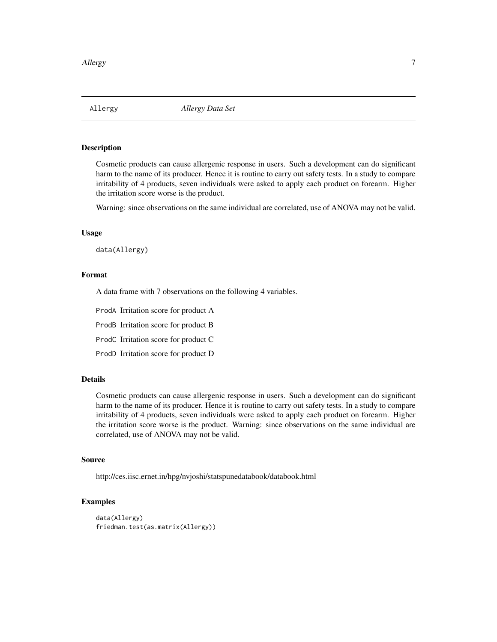<span id="page-6-0"></span>

Cosmetic products can cause allergenic response in users. Such a development can do significant harm to the name of its producer. Hence it is routine to carry out safety tests. In a study to compare irritability of 4 products, seven individuals were asked to apply each product on forearm. Higher the irritation score worse is the product.

Warning: since observations on the same individual are correlated, use of ANOVA may not be valid.

#### Usage

data(Allergy)

#### Format

A data frame with 7 observations on the following 4 variables.

ProdA Irritation score for product A

ProdB Irritation score for product B

ProdC Irritation score for product C

ProdD Irritation score for product D

# Details

Cosmetic products can cause allergenic response in users. Such a development can do significant harm to the name of its producer. Hence it is routine to carry out safety tests. In a study to compare irritability of 4 products, seven individuals were asked to apply each product on forearm. Higher the irritation score worse is the product. Warning: since observations on the same individual are correlated, use of ANOVA may not be valid.

#### Source

http://ces.iisc.ernet.in/hpg/nvjoshi/statspunedatabook/databook.html

# Examples

```
data(Allergy)
friedman.test(as.matrix(Allergy))
```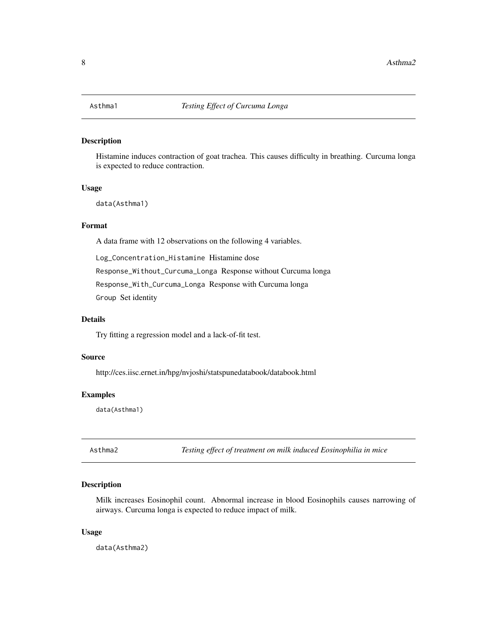<span id="page-7-0"></span>

Histamine induces contraction of goat trachea. This causes difficulty in breathing. Curcuma longa is expected to reduce contraction.

#### Usage

data(Asthma1)

# Format

A data frame with 12 observations on the following 4 variables.

Log\_Concentration\_Histamine Histamine dose

Response\_Without\_Curcuma\_Longa Response without Curcuma longa

Response\_With\_Curcuma\_Longa Response with Curcuma longa

Group Set identity

#### Details

Try fitting a regression model and a lack-of-fit test.

### Source

http://ces.iisc.ernet.in/hpg/nvjoshi/statspunedatabook/databook.html

#### Examples

data(Asthma1)

Asthma2 *Testing effect of treatment on milk induced Eosinophilia in mice*

# Description

Milk increases Eosinophil count. Abnormal increase in blood Eosinophils causes narrowing of airways. Curcuma longa is expected to reduce impact of milk.

#### Usage

data(Asthma2)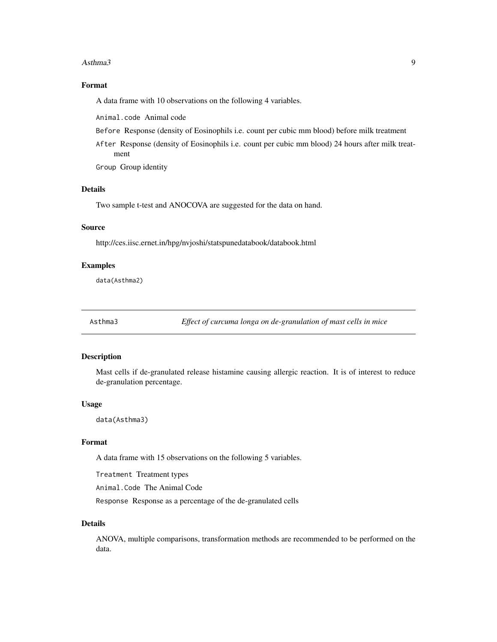#### <span id="page-8-0"></span>Asthma3 9

# Format

A data frame with 10 observations on the following 4 variables.

Animal.code Animal code

- Before Response (density of Eosinophils i.e. count per cubic mm blood) before milk treatment
- After Response (density of Eosinophils i.e. count per cubic mm blood) 24 hours after milk treatment

Group Group identity

# Details

Two sample t-test and ANOCOVA are suggested for the data on hand.

# Source

http://ces.iisc.ernet.in/hpg/nvjoshi/statspunedatabook/databook.html

#### Examples

data(Asthma2)

Asthma3 *Effect of curcuma longa on de-granulation of mast cells in mice*

# Description

Mast cells if de-granulated release histamine causing allergic reaction. It is of interest to reduce de-granulation percentage.

#### Usage

data(Asthma3)

#### Format

A data frame with 15 observations on the following 5 variables.

Treatment Treatment types

Animal.Code The Animal Code

Response Response as a percentage of the de-granulated cells

#### Details

ANOVA, multiple comparisons, transformation methods are recommended to be performed on the data.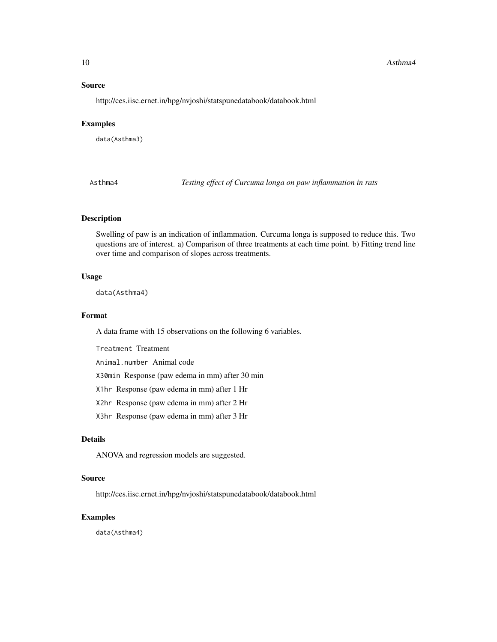#### <span id="page-9-0"></span>10 Asthma4

#### Source

http://ces.iisc.ernet.in/hpg/nvjoshi/statspunedatabook/databook.html

#### Examples

data(Asthma3)

Asthma4 *Testing effect of Curcuma longa on paw inflammation in rats*

# Description

Swelling of paw is an indication of inflammation. Curcuma longa is supposed to reduce this. Two questions are of interest. a) Comparison of three treatments at each time point. b) Fitting trend line over time and comparison of slopes across treatments.

# Usage

data(Asthma4)

# Format

A data frame with 15 observations on the following 6 variables.

Treatment Treatment

Animal.number Animal code

X30min Response (paw edema in mm) after 30 min

X1hr Response (paw edema in mm) after 1 Hr

X2hr Response (paw edema in mm) after 2 Hr

X3hr Response (paw edema in mm) after 3 Hr

#### Details

ANOVA and regression models are suggested.

# Source

http://ces.iisc.ernet.in/hpg/nvjoshi/statspunedatabook/databook.html

# Examples

data(Asthma4)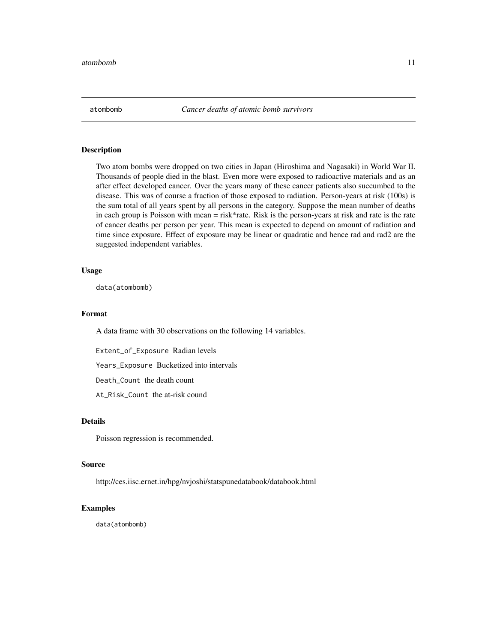<span id="page-10-0"></span>

Two atom bombs were dropped on two cities in Japan (Hiroshima and Nagasaki) in World War II. Thousands of people died in the blast. Even more were exposed to radioactive materials and as an after effect developed cancer. Over the years many of these cancer patients also succumbed to the disease. This was of course a fraction of those exposed to radiation. Person-years at risk (100s) is the sum total of all years spent by all persons in the category. Suppose the mean number of deaths in each group is Poisson with mean = risk\*rate. Risk is the person-years at risk and rate is the rate of cancer deaths per person per year. This mean is expected to depend on amount of radiation and time since exposure. Effect of exposure may be linear or quadratic and hence rad and rad2 are the suggested independent variables.

#### Usage

data(atombomb)

#### Format

A data frame with 30 observations on the following 14 variables.

Extent\_of\_Exposure Radian levels

Years\_Exposure Bucketized into intervals

Death\_Count the death count

At\_Risk\_Count the at-risk cound

#### Details

Poisson regression is recommended.

#### Source

http://ces.iisc.ernet.in/hpg/nvjoshi/statspunedatabook/databook.html

# Examples

data(atombomb)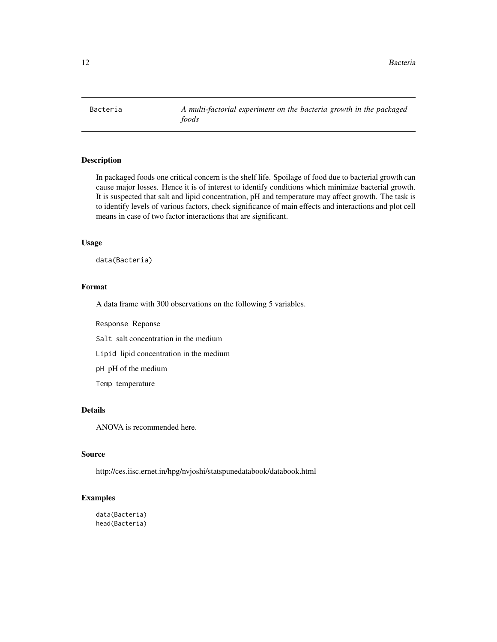<span id="page-11-0"></span>

In packaged foods one critical concern is the shelf life. Spoilage of food due to bacterial growth can cause major losses. Hence it is of interest to identify conditions which minimize bacterial growth. It is suspected that salt and lipid concentration, pH and temperature may affect growth. The task is to identify levels of various factors, check significance of main effects and interactions and plot cell means in case of two factor interactions that are significant.

#### Usage

data(Bacteria)

### Format

A data frame with 300 observations on the following 5 variables.

Response Reponse

Salt salt concentration in the medium

Lipid lipid concentration in the medium

pH pH of the medium

Temp temperature

# Details

ANOVA is recommended here.

# Source

http://ces.iisc.ernet.in/hpg/nvjoshi/statspunedatabook/databook.html

### Examples

data(Bacteria) head(Bacteria)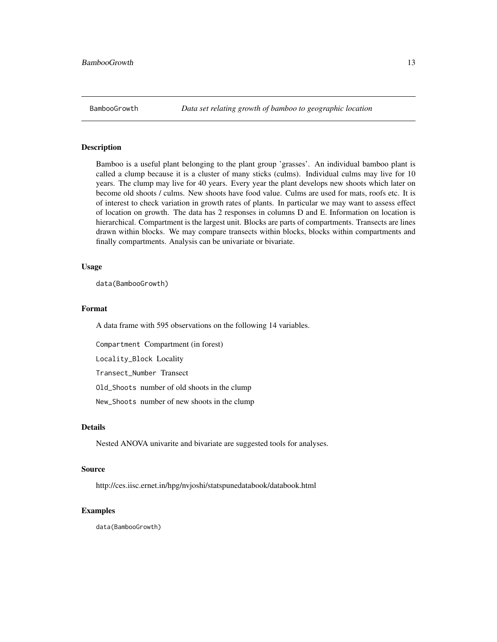<span id="page-12-0"></span>Bamboo is a useful plant belonging to the plant group 'grasses'. An individual bamboo plant is called a clump because it is a cluster of many sticks (culms). Individual culms may live for 10 years. The clump may live for 40 years. Every year the plant develops new shoots which later on become old shoots / culms. New shoots have food value. Culms are used for mats, roofs etc. It is of interest to check variation in growth rates of plants. In particular we may want to assess effect of location on growth. The data has 2 responses in columns D and E. Information on location is hierarchical. Compartment is the largest unit. Blocks are parts of compartments. Transects are lines drawn within blocks. We may compare transects within blocks, blocks within compartments and finally compartments. Analysis can be univariate or bivariate.

#### Usage

data(BambooGrowth)

# Format

A data frame with 595 observations on the following 14 variables.

Compartment Compartment (in forest)

Locality\_Block Locality

Transect\_Number Transect

Old\_Shoots number of old shoots in the clump

New\_Shoots number of new shoots in the clump

# Details

Nested ANOVA univarite and bivariate are suggested tools for analyses.

# Source

http://ces.iisc.ernet.in/hpg/nvjoshi/statspunedatabook/databook.html

#### Examples

data(BambooGrowth)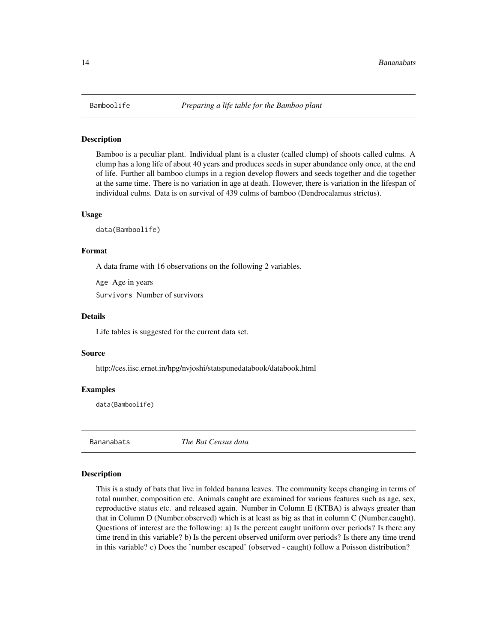Bamboo is a peculiar plant. Individual plant is a cluster (called clump) of shoots called culms. A clump has a long life of about 40 years and produces seeds in super abundance only once, at the end of life. Further all bamboo clumps in a region develop flowers and seeds together and die together at the same time. There is no variation in age at death. However, there is variation in the lifespan of individual culms. Data is on survival of 439 culms of bamboo (Dendrocalamus strictus).

#### Usage

data(Bamboolife)

#### Format

A data frame with 16 observations on the following 2 variables.

Age Age in years

Survivors Number of survivors

#### Details

Life tables is suggested for the current data set.

#### Source

http://ces.iisc.ernet.in/hpg/nvjoshi/statspunedatabook/databook.html

#### Examples

data(Bamboolife)

Bananabats *The Bat Census data*

#### Description

This is a study of bats that live in folded banana leaves. The community keeps changing in terms of total number, composition etc. Animals caught are examined for various features such as age, sex, reproductive status etc. and released again. Number in Column E (KTBA) is always greater than that in Column D (Number.observed) which is at least as big as that in column C (Number.caught). Questions of interest are the following: a) Is the percent caught uniform over periods? Is there any time trend in this variable? b) Is the percent observed uniform over periods? Is there any time trend in this variable? c) Does the 'number escaped' (observed - caught) follow a Poisson distribution?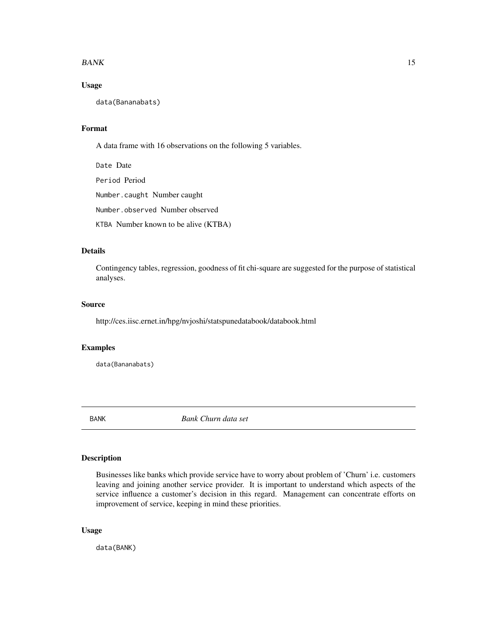#### <span id="page-14-0"></span> $BANK$  15

# Usage

data(Bananabats)

# Format

A data frame with 16 observations on the following 5 variables.

Date Date Period Period Number.caught Number caught Number.observed Number observed KTBA Number known to be alive (KTBA)

# Details

Contingency tables, regression, goodness of fit chi-square are suggested for the purpose of statistical analyses.

# Source

http://ces.iisc.ernet.in/hpg/nvjoshi/statspunedatabook/databook.html

# Examples

data(Bananabats)

BANK *Bank Churn data set*

#### Description

Businesses like banks which provide service have to worry about problem of 'Churn' i.e. customers leaving and joining another service provider. It is important to understand which aspects of the service influence a customer's decision in this regard. Management can concentrate efforts on improvement of service, keeping in mind these priorities.

# Usage

data(BANK)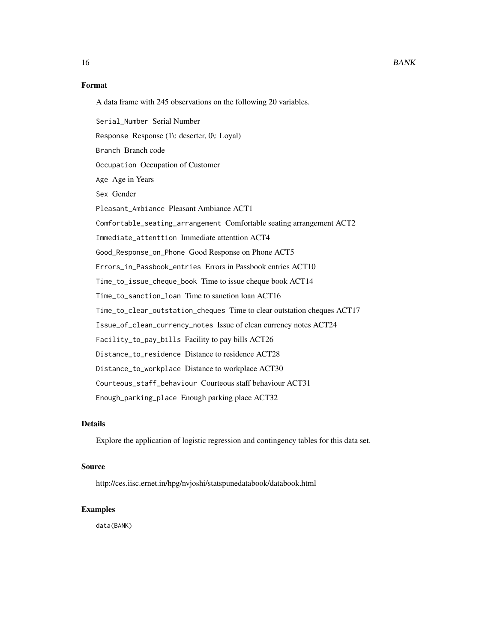# Format

A data frame with 245 observations on the following 20 variables.

Serial\_Number Serial Number Response Response (1\: deserter, 0\: Loyal) Branch Branch code Occupation Occupation of Customer Age Age in Years Sex Gender Pleasant\_Ambiance Pleasant Ambiance ACT1 Comfortable\_seating\_arrangement Comfortable seating arrangement ACT2 Immediate\_attenttion Immediate attenttion ACT4 Good\_Response\_on\_Phone Good Response on Phone ACT5 Errors\_in\_Passbook\_entries Errors in Passbook entries ACT10 Time\_to\_issue\_cheque\_book Time to issue cheque book ACT14 Time\_to\_sanction\_loan Time to sanction loan ACT16 Time\_to\_clear\_outstation\_cheques Time to clear outstation cheques ACT17 Issue\_of\_clean\_currency\_notes Issue of clean currency notes ACT24 Facility\_to\_pay\_bills Facility to pay bills ACT26 Distance\_to\_residence Distance to residence ACT28 Distance\_to\_workplace Distance to workplace ACT30 Courteous\_staff\_behaviour Courteous staff behaviour ACT31 Enough\_parking\_place Enough parking place ACT32

# Details

Explore the application of logistic regression and contingency tables for this data set.

#### Source

http://ces.iisc.ernet.in/hpg/nvjoshi/statspunedatabook/databook.html

# Examples

data(BANK)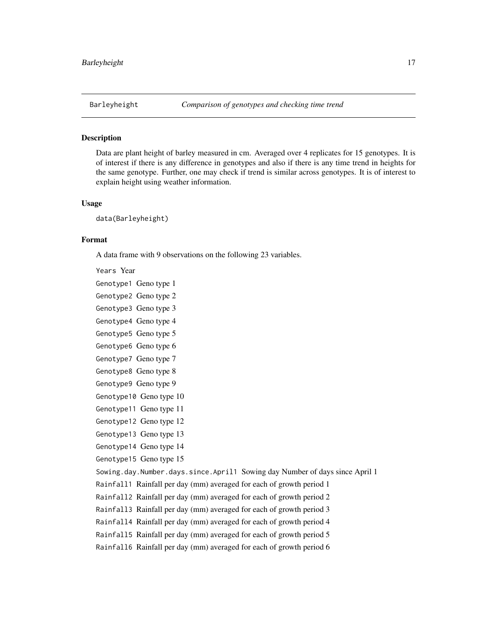<span id="page-16-0"></span>

Data are plant height of barley measured in cm. Averaged over 4 replicates for 15 genotypes. It is of interest if there is any difference in genotypes and also if there is any time trend in heights for the same genotype. Further, one may check if trend is similar across genotypes. It is of interest to explain height using weather information.

#### Usage

data(Barleyheight)

# Format

A data frame with 9 observations on the following 23 variables.

Years Year

Genotype1 Geno type 1 Genotype2 Geno type 2 Genotype3 Geno type 3 Genotype4 Geno type 4 Genotype5 Geno type 5 Genotype6 Geno type 6

Genotype7 Geno type 7 Genotype8 Geno type 8

Genotype9 Geno type 9

Genotype10 Geno type 10

Genotype11 Geno type 11

Genotype12 Geno type 12

Genotype13 Geno type 13

Genotype14 Geno type 14

Genotype15 Geno type 15

Sowing.day.Number.days.since.April1 Sowing day Number of days since April 1

Rainfall1 Rainfall per day (mm) averaged for each of growth period 1

Rainfall2 Rainfall per day (mm) averaged for each of growth period 2

Rainfall3 Rainfall per day (mm) averaged for each of growth period 3

Rainfall4 Rainfall per day (mm) averaged for each of growth period 4

Rainfall5 Rainfall per day (mm) averaged for each of growth period 5

Rainfall6 Rainfall per day (mm) averaged for each of growth period 6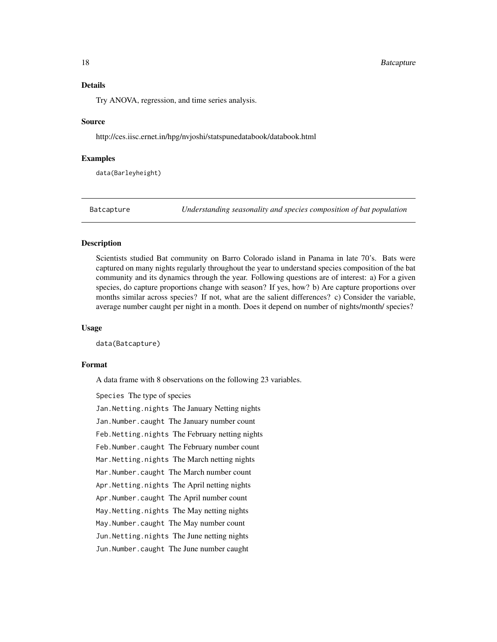#### <span id="page-17-0"></span>18 Batcapture **Batcapture**

# Details

Try ANOVA, regression, and time series analysis.

#### Source

http://ces.iisc.ernet.in/hpg/nvjoshi/statspunedatabook/databook.html

#### Examples

data(Barleyheight)

Batcapture *Understanding seasonality and species composition of bat population*

#### **Description**

Scientists studied Bat community on Barro Colorado island in Panama in late 70's. Bats were captured on many nights regularly throughout the year to understand species composition of the bat community and its dynamics through the year. Following questions are of interest: a) For a given species, do capture proportions change with season? If yes, how? b) Are capture proportions over months similar across species? If not, what are the salient differences? c) Consider the variable, average number caught per night in a month. Does it depend on number of nights/month/ species?

#### Usage

data(Batcapture)

# Format

A data frame with 8 observations on the following 23 variables.

Species The type of species

Jan.Netting.nights The January Netting nights

Jan.Number.caught The January number count

Feb.Netting.nights The February netting nights

Feb.Number.caught The February number count

Mar.Netting.nights The March netting nights

Mar.Number.caught The March number count

Apr.Netting.nights The April netting nights

Apr.Number.caught The April number count

May.Netting.nights The May netting nights

May.Number.caught The May number count

Jun.Netting.nights The June netting nights

Jun.Number.caught The June number caught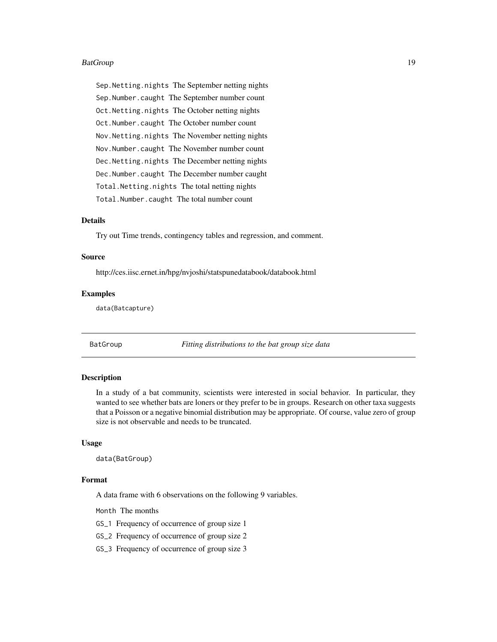#### <span id="page-18-0"></span>BatGroup 2012 and 2012 and 2012 and 2012 and 2012 and 2012 and 2012 and 2012 and 2012 and 2012 and 2013 and 20

Sep.Netting.nights The September netting nights Sep.Number.caught The September number count Oct.Netting.nights The October netting nights Oct.Number.caught The October number count Nov.Netting.nights The November netting nights Nov.Number.caught The November number count Dec.Netting.nights The December netting nights Dec.Number.caught The December number caught Total.Netting.nights The total netting nights Total.Number.caught The total number count

#### Details

Try out Time trends, contingency tables and regression, and comment.

#### Source

http://ces.iisc.ernet.in/hpg/nvjoshi/statspunedatabook/databook.html

# Examples

data(Batcapture)

BatGroup *Fitting distributions to the bat group size data*

#### Description

In a study of a bat community, scientists were interested in social behavior. In particular, they wanted to see whether bats are loners or they prefer to be in groups. Research on other taxa suggests that a Poisson or a negative binomial distribution may be appropriate. Of course, value zero of group size is not observable and needs to be truncated.

#### Usage

data(BatGroup)

#### Format

A data frame with 6 observations on the following 9 variables.

Month The months

GS\_1 Frequency of occurrence of group size 1

GS\_2 Frequency of occurrence of group size 2

GS\_3 Frequency of occurrence of group size 3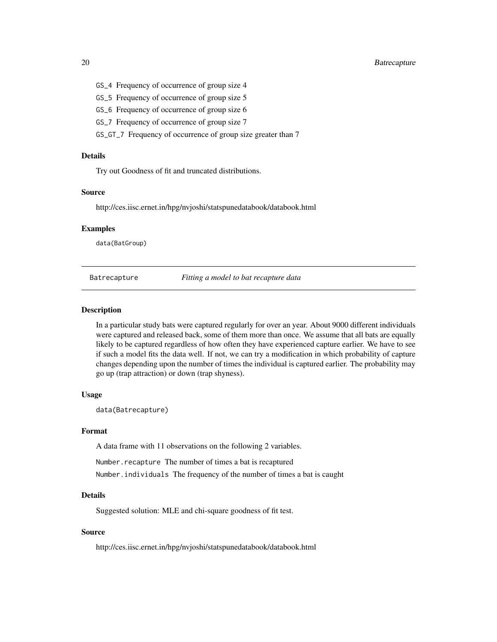# <span id="page-19-0"></span>20 Batrecapture **Batrecapture**

- GS\_4 Frequency of occurrence of group size 4
- GS\_5 Frequency of occurrence of group size 5
- GS\_6 Frequency of occurrence of group size 6
- GS\_7 Frequency of occurrence of group size 7
- GS\_GT\_7 Frequency of occurrence of group size greater than 7

#### Details

Try out Goodness of fit and truncated distributions.

## Source

http://ces.iisc.ernet.in/hpg/nvjoshi/statspunedatabook/databook.html

#### Examples

data(BatGroup)

Batrecapture *Fitting a model to bat recapture data*

#### **Description**

In a particular study bats were captured regularly for over an year. About 9000 different individuals were captured and released back, some of them more than once. We assume that all bats are equally likely to be captured regardless of how often they have experienced capture earlier. We have to see if such a model fits the data well. If not, we can try a modification in which probability of capture changes depending upon the number of times the individual is captured earlier. The probability may go up (trap attraction) or down (trap shyness).

#### Usage

data(Batrecapture)

#### Format

A data frame with 11 observations on the following 2 variables.

Number. recapture The number of times a bat is recaptured Number.individuals The frequency of the number of times a bat is caught

# Details

Suggested solution: MLE and chi-square goodness of fit test.

#### Source

http://ces.iisc.ernet.in/hpg/nvjoshi/statspunedatabook/databook.html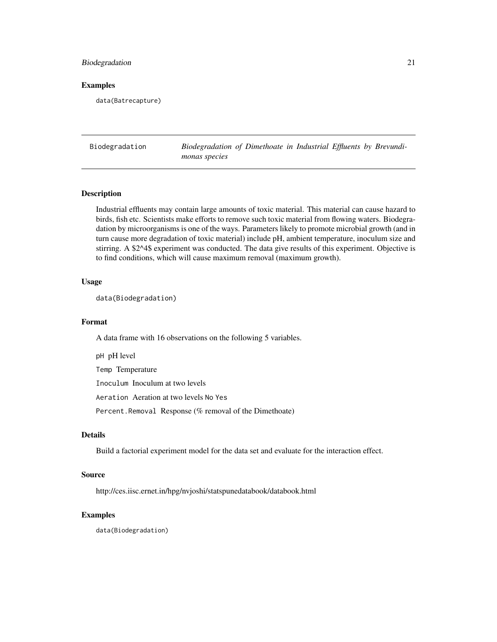# <span id="page-20-0"></span>Biodegradation 21

#### Examples

data(Batrecapture)

Biodegradation *Biodegradation of Dimethoate in Industrial Effluents by Brevundimonas species*

# Description

Industrial effluents may contain large amounts of toxic material. This material can cause hazard to birds, fish etc. Scientists make efforts to remove such toxic material from flowing waters. Biodegradation by microorganisms is one of the ways. Parameters likely to promote microbial growth (and in turn cause more degradation of toxic material) include pH, ambient temperature, inoculum size and stirring. A \$2^4\$ experiment was conducted. The data give results of this experiment. Objective is to find conditions, which will cause maximum removal (maximum growth).

### Usage

data(Biodegradation)

#### Format

A data frame with 16 observations on the following 5 variables.

pH pH level Temp Temperature Inoculum Inoculum at two levels Aeration Aeration at two levels No Yes Percent.Removal Response (% removal of the Dimethoate)

# Details

Build a factorial experiment model for the data set and evaluate for the interaction effect.

#### Source

http://ces.iisc.ernet.in/hpg/nvjoshi/statspunedatabook/databook.html

#### Examples

data(Biodegradation)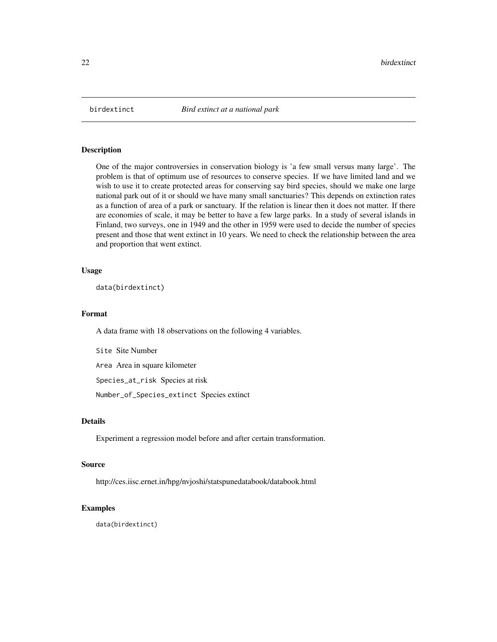<span id="page-21-0"></span>

One of the major controversies in conservation biology is 'a few small versus many large'. The problem is that of optimum use of resources to conserve species. If we have limited land and we wish to use it to create protected areas for conserving say bird species, should we make one large national park out of it or should we have many small sanctuaries? This depends on extinction rates as a function of area of a park or sanctuary. If the relation is linear then it does not matter. If there are economies of scale, it may be better to have a few large parks. In a study of several islands in Finland, two surveys, one in 1949 and the other in 1959 were used to decide the number of species present and those that went extinct in 10 years. We need to check the relationship between the area and proportion that went extinct.

#### Usage

data(birdextinct)

#### Format

A data frame with 18 observations on the following 4 variables.

Site Site Number

Area Area in square kilometer

Species\_at\_risk Species at risk

Number\_of\_Species\_extinct Species extinct

#### Details

Experiment a regression model before and after certain transformation.

# Source

http://ces.iisc.ernet.in/hpg/nvjoshi/statspunedatabook/databook.html

# Examples

data(birdextinct)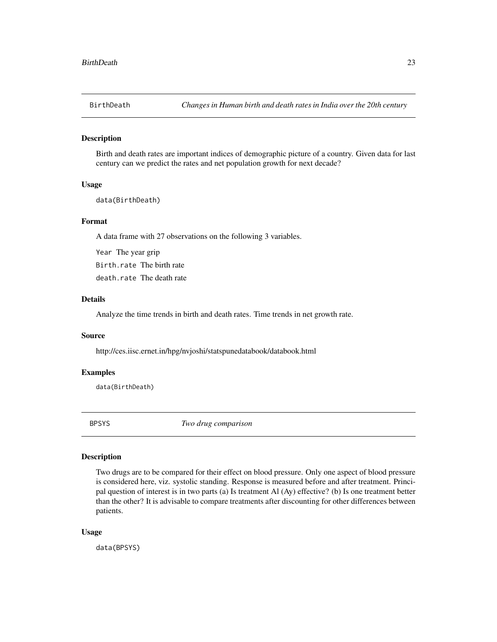<span id="page-22-0"></span>

Birth and death rates are important indices of demographic picture of a country. Given data for last century can we predict the rates and net population growth for next decade?

#### Usage

data(BirthDeath)

#### Format

A data frame with 27 observations on the following 3 variables.

Year The year grip Birth.rate The birth rate death.rate The death rate

# Details

Analyze the time trends in birth and death rates. Time trends in net growth rate.

#### Source

http://ces.iisc.ernet.in/hpg/nvjoshi/statspunedatabook/databook.html

#### Examples

data(BirthDeath)

BPSYS *Two drug comparison*

# Description

Two drugs are to be compared for their effect on blood pressure. Only one aspect of blood pressure is considered here, viz. systolic standing. Response is measured before and after treatment. Principal question of interest is in two parts (a) Is treatment Al (Ay) effective? (b) Is one treatment better than the other? It is advisable to compare treatments after discounting for other differences between patients.

#### Usage

data(BPSYS)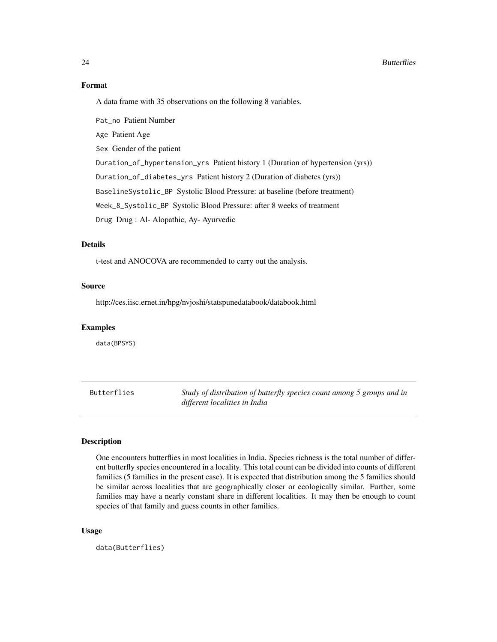#### Format

A data frame with 35 observations on the following 8 variables.

Pat\_no Patient Number Age Patient Age Sex Gender of the patient Duration\_of\_hypertension\_yrs Patient history 1 (Duration of hypertension (yrs)) Duration\_of\_diabetes\_yrs Patient history 2 (Duration of diabetes (yrs)) BaselineSystolic\_BP Systolic Blood Pressure: at baseline (before treatment) Week\_8\_Systolic\_BP Systolic Blood Pressure: after 8 weeks of treatment Drug Drug : Al- Alopathic, Ay- Ayurvedic

# Details

t-test and ANOCOVA are recommended to carry out the analysis.

#### Source

http://ces.iisc.ernet.in/hpg/nvjoshi/statspunedatabook/databook.html

#### Examples

data(BPSYS)

Butterflies *Study of distribution of butterfly species count among 5 groups and in different localities in India*

# **Description**

One encounters butterflies in most localities in India. Species richness is the total number of different butterfly species encountered in a locality. This total count can be divided into counts of different families (5 families in the present case). It is expected that distribution among the 5 families should be similar across localities that are geographically closer or ecologically similar. Further, some families may have a nearly constant share in different localities. It may then be enough to count species of that family and guess counts in other families.

#### Usage

data(Butterflies)

<span id="page-23-0"></span>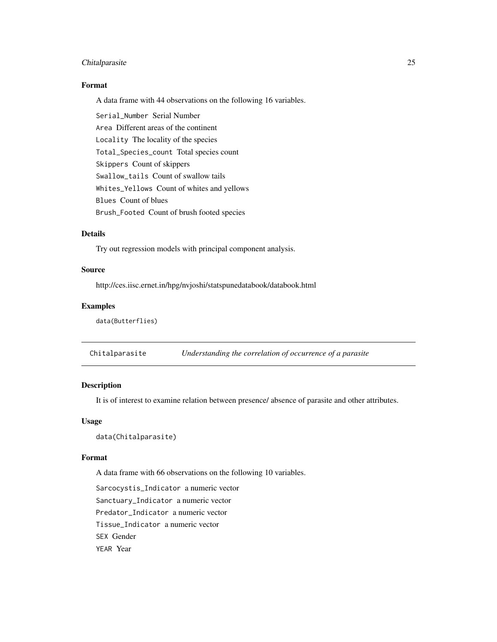# <span id="page-24-0"></span>Chitalparasite 25

# Format

A data frame with 44 observations on the following 16 variables.

Serial\_Number Serial Number Area Different areas of the continent Locality The locality of the species Total\_Species\_count Total species count Skippers Count of skippers Swallow\_tails Count of swallow tails Whites\_Yellows Count of whites and yellows Blues Count of blues Brush\_Footed Count of brush footed species

# Details

Try out regression models with principal component analysis.

#### Source

http://ces.iisc.ernet.in/hpg/nvjoshi/statspunedatabook/databook.html

#### Examples

data(Butterflies)

Chitalparasite *Understanding the correlation of occurrence of a parasite*

#### Description

It is of interest to examine relation between presence/ absence of parasite and other attributes.

#### Usage

data(Chitalparasite)

#### Format

A data frame with 66 observations on the following 10 variables.

Sarcocystis\_Indicator a numeric vector Sanctuary\_Indicator a numeric vector Predator\_Indicator a numeric vector Tissue\_Indicator a numeric vector SEX Gender YEAR Year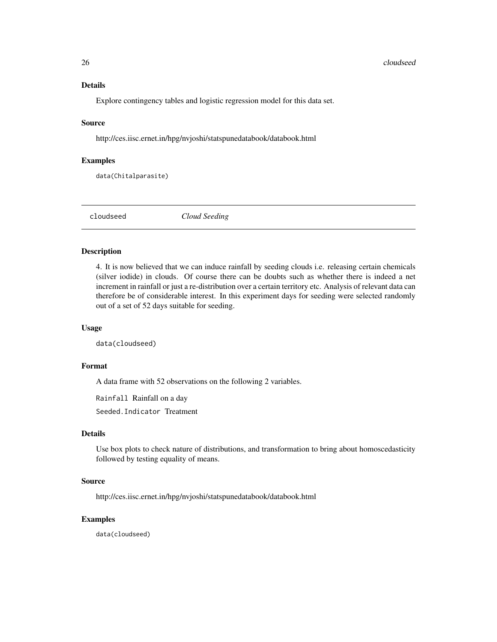# <span id="page-25-0"></span>Details

Explore contingency tables and logistic regression model for this data set.

#### Source

http://ces.iisc.ernet.in/hpg/nvjoshi/statspunedatabook/databook.html

# Examples

data(Chitalparasite)

cloudseed *Cloud Seeding*

#### Description

4. It is now believed that we can induce rainfall by seeding clouds i.e. releasing certain chemicals (silver iodide) in clouds. Of course there can be doubts such as whether there is indeed a net increment in rainfall or just a re-distribution over a certain territory etc. Analysis of relevant data can therefore be of considerable interest. In this experiment days for seeding were selected randomly out of a set of 52 days suitable for seeding.

# Usage

data(cloudseed)

# Format

A data frame with 52 observations on the following 2 variables.

Rainfall Rainfall on a day

Seeded.Indicator Treatment

# Details

Use box plots to check nature of distributions, and transformation to bring about homoscedasticity followed by testing equality of means.

# Source

http://ces.iisc.ernet.in/hpg/nvjoshi/statspunedatabook/databook.html

# Examples

data(cloudseed)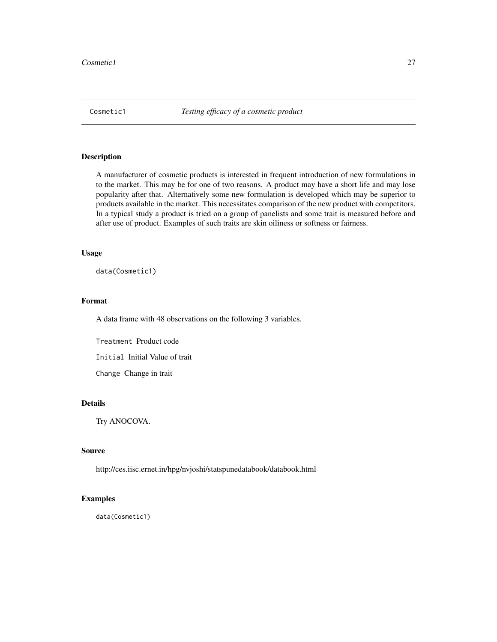<span id="page-26-0"></span>

A manufacturer of cosmetic products is interested in frequent introduction of new formulations in to the market. This may be for one of two reasons. A product may have a short life and may lose popularity after that. Alternatively some new formulation is developed which may be superior to products available in the market. This necessitates comparison of the new product with competitors. In a typical study a product is tried on a group of panelists and some trait is measured before and after use of product. Examples of such traits are skin oiliness or softness or fairness.

# Usage

data(Cosmetic1)

#### Format

A data frame with 48 observations on the following 3 variables.

Treatment Product code

Initial Initial Value of trait

Change Change in trait

# Details

Try ANOCOVA.

# Source

http://ces.iisc.ernet.in/hpg/nvjoshi/statspunedatabook/databook.html

# Examples

data(Cosmetic1)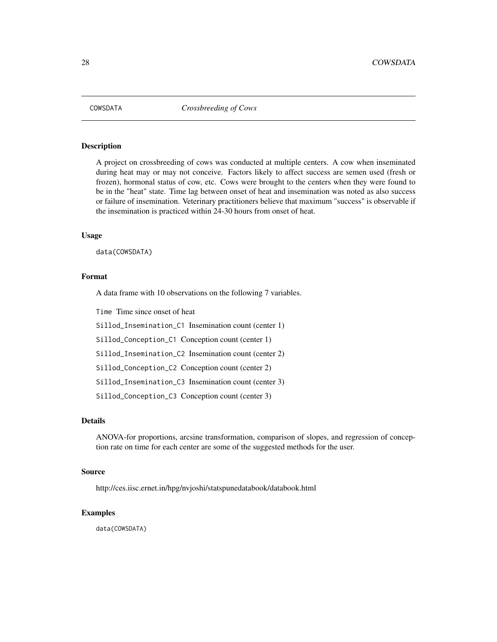<span id="page-27-0"></span>

A project on crossbreeding of cows was conducted at multiple centers. A cow when inseminated during heat may or may not conceive. Factors likely to affect success are semen used (fresh or frozen), hormonal status of cow, etc. Cows were brought to the centers when they were found to be in the "heat" state. Time lag between onset of heat and insemination was noted as also success or failure of insemination. Veterinary practitioners believe that maximum "success" is observable if the insemination is practiced within 24-30 hours from onset of heat.

# Usage

data(COWSDATA)

# Format

A data frame with 10 observations on the following 7 variables.

Time Time since onset of heat

Sillod\_Insemination\_C1 Insemination count (center 1)

Sillod\_Conception\_C1 Conception count (center 1)

Sillod\_Insemination\_C2 Insemination count (center 2)

Sillod\_Conception\_C2 Conception count (center 2)

Sillod\_Insemination\_C3 Insemination count (center 3)

Sillod\_Conception\_C3 Conception count (center 3)

#### Details

ANOVA-for proportions, arcsine transformation, comparison of slopes, and regression of conception rate on time for each center are some of the suggested methods for the user.

#### Source

http://ces.iisc.ernet.in/hpg/nvjoshi/statspunedatabook/databook.html

# Examples

data(COWSDATA)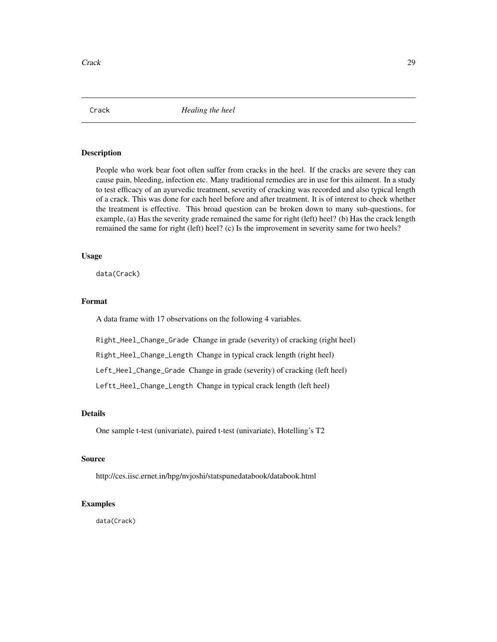<span id="page-28-0"></span>Crack *Healing the heel*

#### Description

People who work bear foot often suffer from cracks in the heel. If the cracks are severe they can cause pain, bleeding, infection etc. Many traditional remedies are in use for this ailment. In a study to test efficacy of an ayurvedic treatment, severity of cracking was recorded and also typical length of a crack. This was done for each heel before and after treatment. It is of interest to check whether the treatment is effective. This broad question can be broken down to many sub-questions, for example, (a) Has the severity grade remained the same for right (left) heel? (b) Has the crack length remained the same for right (left) heel? (c) Is the improvement in severity same for two heels?

#### Usage

data(Crack)

#### Format

A data frame with 17 observations on the following 4 variables.

Right\_Heel\_Change\_Grade Change in grade (severity) of cracking (right heel)

Right\_Heel\_Change\_Length Change in typical crack length (right heel)

Left\_Heel\_Change\_Grade Change in grade (severity) of cracking (left heel)

Leftt\_Heel\_Change\_Length Change in typical crack length (left heel)

# Details

One sample t-test (univariate), paired t-test (univariate), Hotelling's T2

# Source

http://ces.iisc.ernet.in/hpg/nvjoshi/statspunedatabook/databook.html

#### Examples

data(Crack)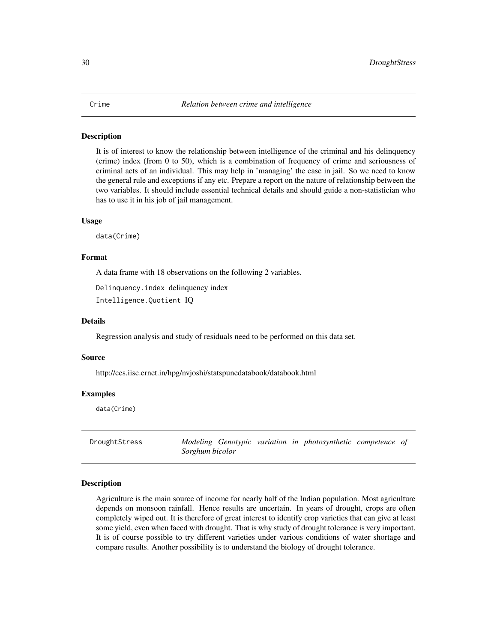<span id="page-29-0"></span>It is of interest to know the relationship between intelligence of the criminal and his delinquency (crime) index (from 0 to 50), which is a combination of frequency of crime and seriousness of criminal acts of an individual. This may help in 'managing' the case in jail. So we need to know the general rule and exceptions if any etc. Prepare a report on the nature of relationship between the two variables. It should include essential technical details and should guide a non-statistician who has to use it in his job of jail management.

#### Usage

data(Crime)

### Format

A data frame with 18 observations on the following 2 variables.

Delinquency.index delinquency index

Intelligence.Quotient IQ

#### Details

Regression analysis and study of residuals need to be performed on this data set.

#### Source

http://ces.iisc.ernet.in/hpg/nvjoshi/statspunedatabook/databook.html

#### Examples

data(Crime)

DroughtStress *Modeling Genotypic variation in photosynthetic competence of Sorghum bicolor*

#### Description

Agriculture is the main source of income for nearly half of the Indian population. Most agriculture depends on monsoon rainfall. Hence results are uncertain. In years of drought, crops are often completely wiped out. It is therefore of great interest to identify crop varieties that can give at least some yield, even when faced with drought. That is why study of drought tolerance is very important. It is of course possible to try different varieties under various conditions of water shortage and compare results. Another possibility is to understand the biology of drought tolerance.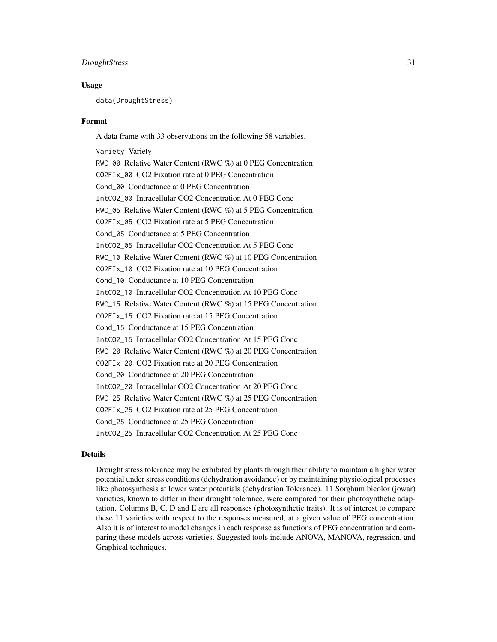#### DroughtStress 31

#### Usage

data(DroughtStress)

#### Format

A data frame with 33 observations on the following 58 variables.

Variety Variety RWC\_00 Relative Water Content (RWC %) at 0 PEG Concentration CO2FIx\_00 CO2 Fixation rate at 0 PEG Concentration Cond\_00 Conductance at 0 PEG Concentration IntCO2\_00 Intracellular CO2 Concentration At 0 PEG Conc RWC\_05 Relative Water Content (RWC %) at 5 PEG Concentration CO2FIx\_05 CO2 Fixation rate at 5 PEG Concentration Cond\_05 Conductance at 5 PEG Concentration IntCO2\_05 Intracellular CO2 Concentration At 5 PEG Conc RWC\_10 Relative Water Content (RWC %) at 10 PEG Concentration CO2FIx\_10 CO2 Fixation rate at 10 PEG Concentration Cond\_10 Conductance at 10 PEG Concentration IntCO2\_10 Intracellular CO2 Concentration At 10 PEG Conc RWC\_15 Relative Water Content (RWC %) at 15 PEG Concentration CO2FIx\_15 CO2 Fixation rate at 15 PEG Concentration Cond\_15 Conductance at 15 PEG Concentration IntCO2\_15 Intracellular CO2 Concentration At 15 PEG Conc RWC\_20 Relative Water Content (RWC %) at 20 PEG Concentration CO2FIx\_20 CO2 Fixation rate at 20 PEG Concentration Cond\_20 Conductance at 20 PEG Concentration IntCO2\_20 Intracellular CO2 Concentration At 20 PEG Conc RWC\_25 Relative Water Content (RWC %) at 25 PEG Concentration CO2FIx\_25 CO2 Fixation rate at 25 PEG Concentration Cond\_25 Conductance at 25 PEG Concentration IntCO2\_25 Intracellular CO2 Concentration At 25 PEG Conc

# Details

Drought stress tolerance may be exhibited by plants through their ability to maintain a higher water potential under stress conditions (dehydration avoidance) or by maintaining physiological processes like photosynthesis at lower water potentials (dehydration Tolerance). 11 Sorghum bicolor (jowar) varieties, known to differ in their drought tolerance, were compared for their photosynthetic adaptation. Columns B, C, D and E are all responses (photosynthetic traits). It is of interest to compare these 11 varieties with respect to the responses measured, at a given value of PEG concentration. Also it is of interest to model changes in each response as functions of PEG concentration and comparing these models across varieties. Suggested tools include ANOVA, MANOVA, regression, and Graphical techniques.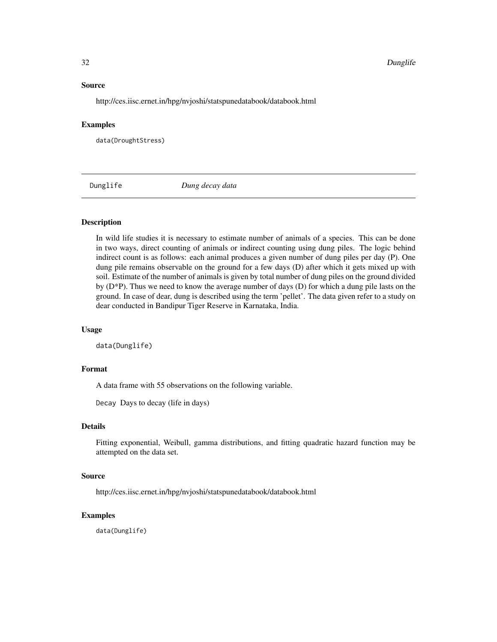#### Source

http://ces.iisc.ernet.in/hpg/nvjoshi/statspunedatabook/databook.html

#### Examples

data(DroughtStress)

Dunglife *Dung decay data*

### Description

In wild life studies it is necessary to estimate number of animals of a species. This can be done in two ways, direct counting of animals or indirect counting using dung piles. The logic behind indirect count is as follows: each animal produces a given number of dung piles per day (P). One dung pile remains observable on the ground for a few days (D) after which it gets mixed up with soil. Estimate of the number of animals is given by total number of dung piles on the ground divided by (D\*P). Thus we need to know the average number of days (D) for which a dung pile lasts on the ground. In case of dear, dung is described using the term 'pellet'. The data given refer to a study on dear conducted in Bandipur Tiger Reserve in Karnataka, India.

#### Usage

data(Dunglife)

#### Format

A data frame with 55 observations on the following variable.

Decay Days to decay (life in days)

# Details

Fitting exponential, Weibull, gamma distributions, and fitting quadratic hazard function may be attempted on the data set.

#### Source

http://ces.iisc.ernet.in/hpg/nvjoshi/statspunedatabook/databook.html

#### Examples

data(Dunglife)

<span id="page-31-0"></span>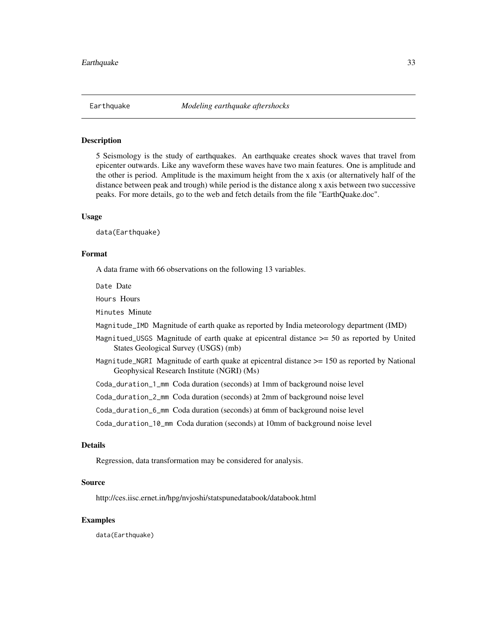<span id="page-32-0"></span>

5 Seismology is the study of earthquakes. An earthquake creates shock waves that travel from epicenter outwards. Like any waveform these waves have two main features. One is amplitude and the other is period. Amplitude is the maximum height from the x axis (or alternatively half of the distance between peak and trough) while period is the distance along x axis between two successive peaks. For more details, go to the web and fetch details from the file "EarthQuake.doc".

### Usage

data(Earthquake)

#### Format

A data frame with 66 observations on the following 13 variables.

Date Date

Hours Hours

Minutes Minute

Magnitude\_IMD Magnitude of earth quake as reported by India meteorology department (IMD)

- Magnitued\_USGS Magnitude of earth quake at epicentral distance >= 50 as reported by United States Geological Survey (USGS) (mb)
- Magnitude\_NGRI Magnitude of earth quake at epicentral distance >= 150 as reported by National Geophysical Research Institute (NGRI) (Ms)

Coda\_duration\_1\_mm Coda duration (seconds) at 1mm of background noise level

Coda\_duration\_2\_mm Coda duration (seconds) at 2mm of background noise level

Coda\_duration\_6\_mm Coda duration (seconds) at 6mm of background noise level

Coda\_duration\_10\_mm Coda duration (seconds) at 10mm of background noise level

# Details

Regression, data transformation may be considered for analysis.

#### Source

http://ces.iisc.ernet.in/hpg/nvjoshi/statspunedatabook/databook.html

# Examples

data(Earthquake)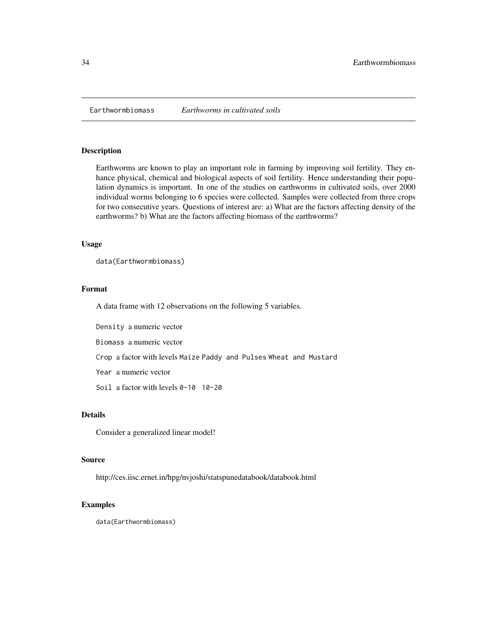<span id="page-33-0"></span>

Earthworms are known to play an important role in farming by improving soil fertility. They enhance physical, chemical and biological aspects of soil fertility. Hence understanding their population dynamics is important. In one of the studies on earthworms in cultivated soils, over 2000 individual worms belonging to 6 species were collected. Samples were collected from three crops for two consecutive years. Questions of interest are: a) What are the factors affecting density of the earthworms? b) What are the factors affecting biomass of the earthworms?

# Usage

```
data(Earthwormbiomass)
```
# Format

A data frame with 12 observations on the following 5 variables.

Density a numeric vector

Biomass a numeric vector

Crop a factor with levels Maize Paddy and Pulses Wheat and Mustard

Year a numeric vector

Soil a factor with levels 0-10 10-20

# Details

Consider a generalized linear model!

#### Source

http://ces.iisc.ernet.in/hpg/nvjoshi/statspunedatabook/databook.html

#### Examples

data(Earthwormbiomass)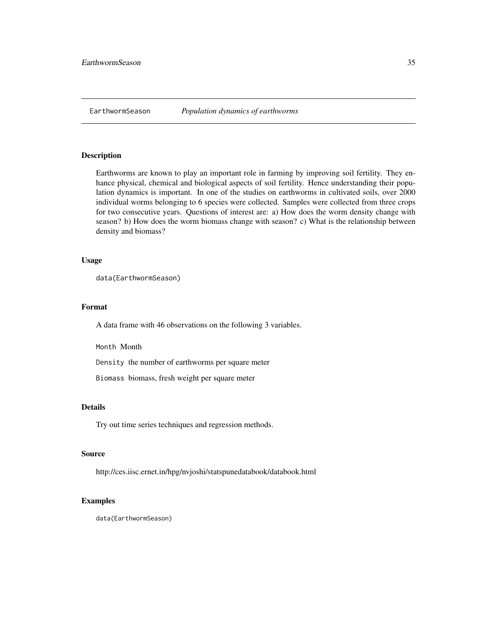<span id="page-34-0"></span>

Earthworms are known to play an important role in farming by improving soil fertility. They enhance physical, chemical and biological aspects of soil fertility. Hence understanding their population dynamics is important. In one of the studies on earthworms in cultivated soils, over 2000 individual worms belonging to 6 species were collected. Samples were collected from three crops for two consecutive years. Questions of interest are: a) How does the worm density change with season? b) How does the worm biomass change with season? c) What is the relationship between density and biomass?

#### Usage

```
data(EarthwormSeason)
```
# Format

A data frame with 46 observations on the following 3 variables.

Month Month

Density the number of earthworms per square meter

Biomass biomass, fresh weight per square meter

# Details

Try out time series techniques and regression methods.

# Source

http://ces.iisc.ernet.in/hpg/nvjoshi/statspunedatabook/databook.html

#### Examples

data(EarthwormSeason)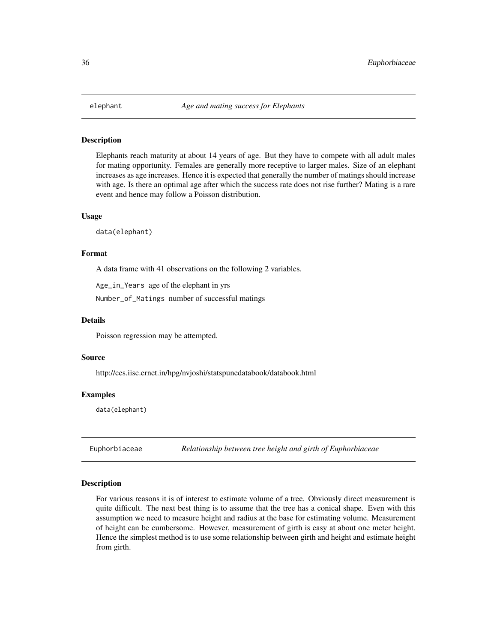<span id="page-35-0"></span>

Elephants reach maturity at about 14 years of age. But they have to compete with all adult males for mating opportunity. Females are generally more receptive to larger males. Size of an elephant increases as age increases. Hence it is expected that generally the number of matings should increase with age. Is there an optimal age after which the success rate does not rise further? Mating is a rare event and hence may follow a Poisson distribution.

#### Usage

data(elephant)

# Format

A data frame with 41 observations on the following 2 variables.

Age\_in\_Years age of the elephant in yrs

Number\_of\_Matings number of successful matings

#### Details

Poisson regression may be attempted.

#### Source

http://ces.iisc.ernet.in/hpg/nvjoshi/statspunedatabook/databook.html

#### Examples

data(elephant)

Euphorbiaceae *Relationship between tree height and girth of Euphorbiaceae*

#### Description

For various reasons it is of interest to estimate volume of a tree. Obviously direct measurement is quite difficult. The next best thing is to assume that the tree has a conical shape. Even with this assumption we need to measure height and radius at the base for estimating volume. Measurement of height can be cumbersome. However, measurement of girth is easy at about one meter height. Hence the simplest method is to use some relationship between girth and height and estimate height from girth.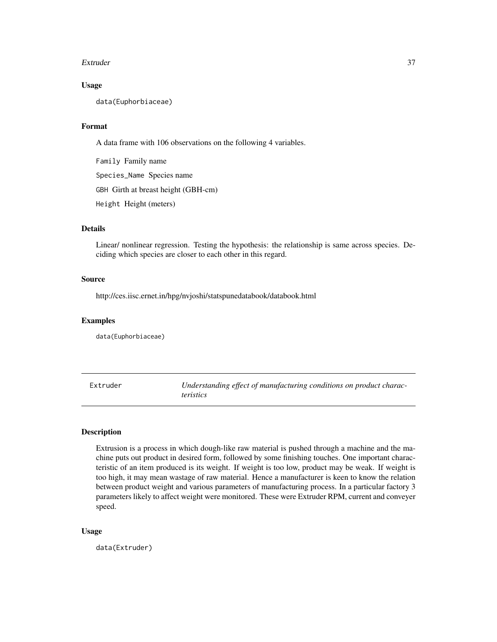#### Extruder 37

# Usage

data(Euphorbiaceae)

# Format

A data frame with 106 observations on the following 4 variables.

Family Family name Species\_Name Species name GBH Girth at breast height (GBH-cm) Height Height (meters)

# Details

Linear/ nonlinear regression. Testing the hypothesis: the relationship is same across species. Deciding which species are closer to each other in this regard.

# Source

http://ces.iisc.ernet.in/hpg/nvjoshi/statspunedatabook/databook.html

# Examples

data(Euphorbiaceae)

Extruder *Understanding effect of manufacturing conditions on product characteristics*

# Description

Extrusion is a process in which dough-like raw material is pushed through a machine and the machine puts out product in desired form, followed by some finishing touches. One important characteristic of an item produced is its weight. If weight is too low, product may be weak. If weight is too high, it may mean wastage of raw material. Hence a manufacturer is keen to know the relation between product weight and various parameters of manufacturing process. In a particular factory 3 parameters likely to affect weight were monitored. These were Extruder RPM, current and conveyer speed.

#### Usage

data(Extruder)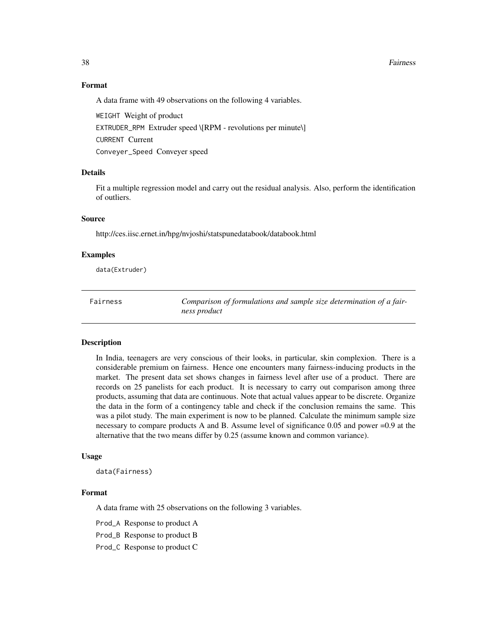#### 38 Fairness

# Format

A data frame with 49 observations on the following 4 variables.

WEIGHT Weight of product EXTRUDER\_RPM Extruder speed \[RPM - revolutions per minute\] CURRENT Current Conveyer\_Speed Conveyer speed

### Details

Fit a multiple regression model and carry out the residual analysis. Also, perform the identification of outliers.

# Source

http://ces.iisc.ernet.in/hpg/nvjoshi/statspunedatabook/databook.html

### Examples

data(Extruder)

Fairness *Comparison of formulations and sample size determination of a fairness product*

# **Description**

In India, teenagers are very conscious of their looks, in particular, skin complexion. There is a considerable premium on fairness. Hence one encounters many fairness-inducing products in the market. The present data set shows changes in fairness level after use of a product. There are records on 25 panelists for each product. It is necessary to carry out comparison among three products, assuming that data are continuous. Note that actual values appear to be discrete. Organize the data in the form of a contingency table and check if the conclusion remains the same. This was a pilot study. The main experiment is now to be planned. Calculate the minimum sample size necessary to compare products A and B. Assume level of significance 0.05 and power =0.9 at the alternative that the two means differ by 0.25 (assume known and common variance).

# Usage

data(Fairness)

#### Format

A data frame with 25 observations on the following 3 variables.

Prod\_A Response to product A

Prod\_B Response to product B

Prod\_C Response to product C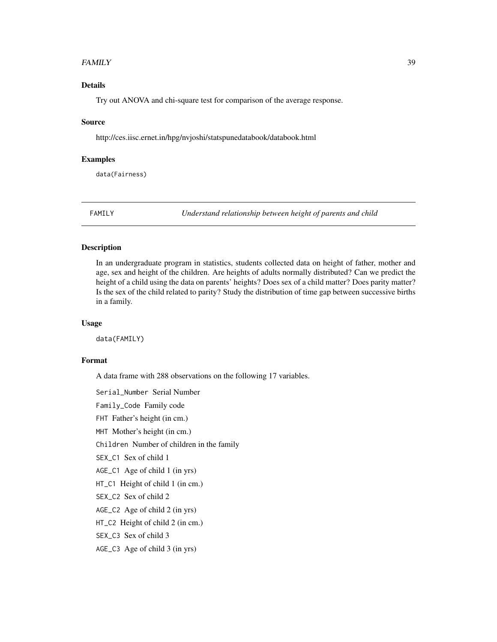### FAMILY  $\sim$  39

# Details

Try out ANOVA and chi-square test for comparison of the average response.

### Source

http://ces.iisc.ernet.in/hpg/nvjoshi/statspunedatabook/databook.html

# Examples

data(Fairness)

FAMILY *Understand relationship between height of parents and child*

### Description

In an undergraduate program in statistics, students collected data on height of father, mother and age, sex and height of the children. Are heights of adults normally distributed? Can we predict the height of a child using the data on parents' heights? Does sex of a child matter? Does parity matter? Is the sex of the child related to parity? Study the distribution of time gap between successive births in a family.

#### Usage

data(FAMILY)

# Format

A data frame with 288 observations on the following 17 variables.

Serial\_Number Serial Number

Family\_Code Family code

FHT Father's height (in cm.)

MHT Mother's height (in cm.)

Children Number of children in the family

SEX\_C1 Sex of child 1

AGE\_C1 Age of child 1 (in yrs)

HT\_C1 Height of child 1 (in cm.)

SEX C2 Sex of child 2

AGE\_C2 Age of child 2 (in yrs)

HT\_C2 Height of child 2 (in cm.)

SEX\_C3 Sex of child 3

AGE\_C3 Age of child 3 (in yrs)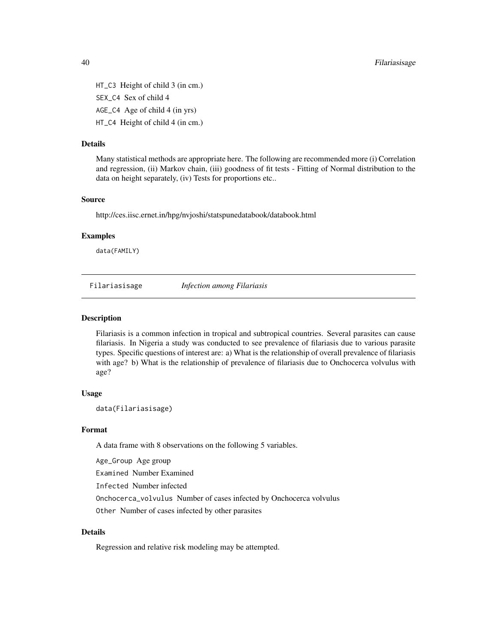HT\_C3 Height of child 3 (in cm.) SEX\_C4 Sex of child 4 AGE\_C4 Age of child 4 (in yrs) HT\_C4 Height of child 4 (in cm.)

# Details

Many statistical methods are appropriate here. The following are recommended more (i) Correlation and regression, (ii) Markov chain, (iii) goodness of fit tests - Fitting of Normal distribution to the data on height separately, (iv) Tests for proportions etc..

# Source

http://ces.iisc.ernet.in/hpg/nvjoshi/statspunedatabook/databook.html

# Examples

data(FAMILY)

Filariasisage *Infection among Filariasis*

### Description

Filariasis is a common infection in tropical and subtropical countries. Several parasites can cause filariasis. In Nigeria a study was conducted to see prevalence of filariasis due to various parasite types. Specific questions of interest are: a) What is the relationship of overall prevalence of filariasis with age? b) What is the relationship of prevalence of filariasis due to Onchocerca volvulus with age?

# Usage

data(Filariasisage)

#### Format

A data frame with 8 observations on the following 5 variables.

Age\_Group Age group

Examined Number Examined

Infected Number infected

Onchocerca\_volvulus Number of cases infected by Onchocerca volvulus

Other Number of cases infected by other parasites

# Details

Regression and relative risk modeling may be attempted.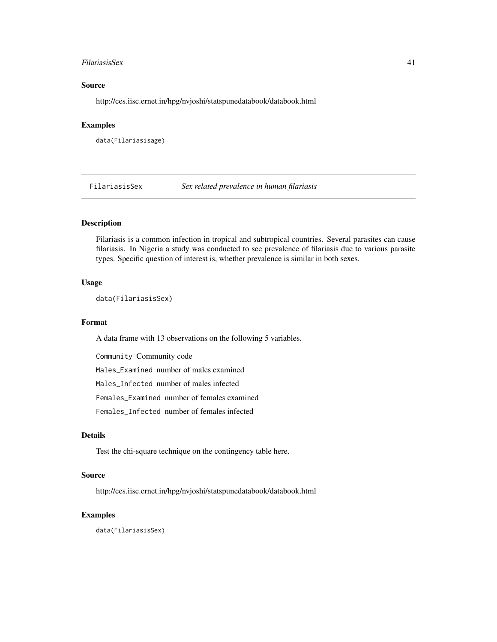#### FilariasisSex 41

# Source

http://ces.iisc.ernet.in/hpg/nvjoshi/statspunedatabook/databook.html

# Examples

data(Filariasisage)

FilariasisSex *Sex related prevalence in human filariasis*

# Description

Filariasis is a common infection in tropical and subtropical countries. Several parasites can cause filariasis. In Nigeria a study was conducted to see prevalence of filariasis due to various parasite types. Specific question of interest is, whether prevalence is similar in both sexes.

### Usage

data(FilariasisSex)

#### Format

A data frame with 13 observations on the following 5 variables.

Community Community code

Males\_Examined number of males examined

Males\_Infected number of males infected

Females\_Examined number of females examined

Females\_Infected number of females infected

# Details

Test the chi-square technique on the contingency table here.

#### Source

http://ces.iisc.ernet.in/hpg/nvjoshi/statspunedatabook/databook.html

# Examples

data(FilariasisSex)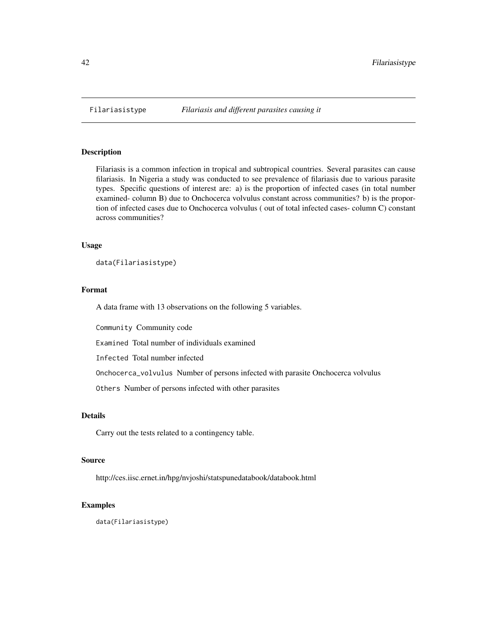Filariasis is a common infection in tropical and subtropical countries. Several parasites can cause filariasis. In Nigeria a study was conducted to see prevalence of filariasis due to various parasite types. Specific questions of interest are: a) is the proportion of infected cases (in total number examined- column B) due to Onchocerca volvulus constant across communities? b) is the proportion of infected cases due to Onchocerca volvulus ( out of total infected cases- column C) constant across communities?

# Usage

data(Filariasistype)

# Format

A data frame with 13 observations on the following 5 variables.

Community Community code

Examined Total number of individuals examined

Infected Total number infected

Onchocerca\_volvulus Number of persons infected with parasite Onchocerca volvulus

Others Number of persons infected with other parasites

# Details

Carry out the tests related to a contingency table.

# Source

http://ces.iisc.ernet.in/hpg/nvjoshi/statspunedatabook/databook.html

#### Examples

data(Filariasistype)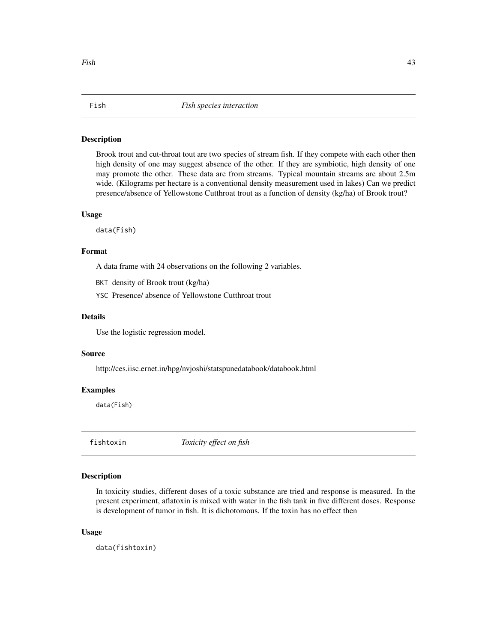Brook trout and cut-throat tout are two species of stream fish. If they compete with each other then high density of one may suggest absence of the other. If they are symbiotic, high density of one may promote the other. These data are from streams. Typical mountain streams are about 2.5m wide. (Kilograms per hectare is a conventional density measurement used in lakes) Can we predict presence/absence of Yellowstone Cutthroat trout as a function of density (kg/ha) of Brook trout?

# Usage

data(Fish)

### Format

A data frame with 24 observations on the following 2 variables.

BKT density of Brook trout (kg/ha)

YSC Presence/ absence of Yellowstone Cutthroat trout

# Details

Use the logistic regression model.

### Source

http://ces.iisc.ernet.in/hpg/nvjoshi/statspunedatabook/databook.html

### Examples

data(Fish)

fishtoxin *Toxicity effect on fish*

# Description

In toxicity studies, different doses of a toxic substance are tried and response is measured. In the present experiment, aflatoxin is mixed with water in the fish tank in five different doses. Response is development of tumor in fish. It is dichotomous. If the toxin has no effect then

#### Usage

data(fishtoxin)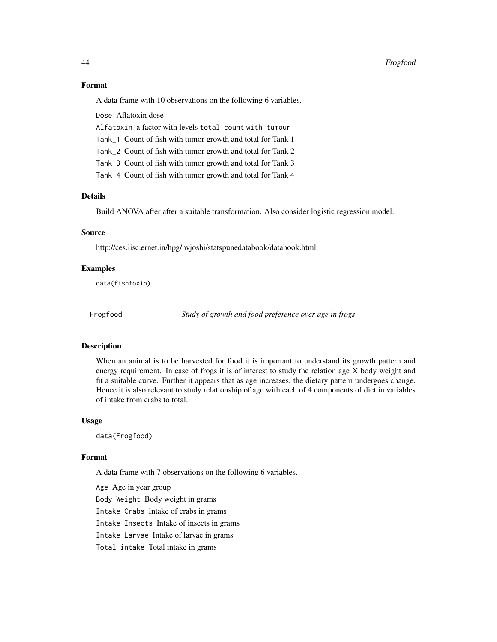# Format

A data frame with 10 observations on the following 6 variables.

Dose Aflatoxin dose

Alfatoxin a factor with levels total count with tumour

Tank\_1 Count of fish with tumor growth and total for Tank 1

Tank\_2 Count of fish with tumor growth and total for Tank 2

Tank\_3 Count of fish with tumor growth and total for Tank 3

Tank\_4 Count of fish with tumor growth and total for Tank 4

# Details

Build ANOVA after after a suitable transformation. Also consider logistic regression model.

# Source

http://ces.iisc.ernet.in/hpg/nvjoshi/statspunedatabook/databook.html

# Examples

data(fishtoxin)

Frogfood *Study of growth and food preference over age in frogs*

#### Description

When an animal is to be harvested for food it is important to understand its growth pattern and energy requirement. In case of frogs it is of interest to study the relation age X body weight and fit a suitable curve. Further it appears that as age increases, the dietary pattern undergoes change. Hence it is also relevant to study relationship of age with each of 4 components of diet in variables of intake from crabs to total.

#### Usage

data(Frogfood)

### Format

A data frame with 7 observations on the following 6 variables.

Age Age in year group Body\_Weight Body weight in grams Intake\_Crabs Intake of crabs in grams Intake\_Insects Intake of insects in grams Intake\_Larvae Intake of larvae in grams Total\_intake Total intake in grams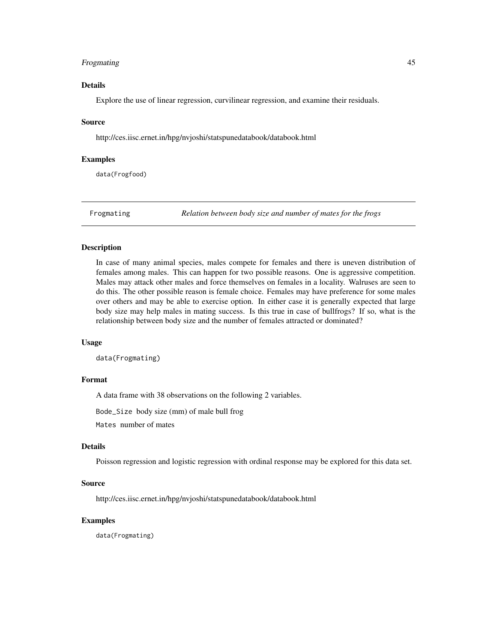# Frogmating 45

# Details

Explore the use of linear regression, curvilinear regression, and examine their residuals.

### Source

http://ces.iisc.ernet.in/hpg/nvjoshi/statspunedatabook/databook.html

#### Examples

data(Frogfood)

Frogmating *Relation between body size and number of mates for the frogs*

### Description

In case of many animal species, males compete for females and there is uneven distribution of females among males. This can happen for two possible reasons. One is aggressive competition. Males may attack other males and force themselves on females in a locality. Walruses are seen to do this. The other possible reason is female choice. Females may have preference for some males over others and may be able to exercise option. In either case it is generally expected that large body size may help males in mating success. Is this true in case of bullfrogs? If so, what is the relationship between body size and the number of females attracted or dominated?

### Usage

data(Frogmating)

# Format

A data frame with 38 observations on the following 2 variables.

Bode\_Size body size (mm) of male bull frog

Mates number of mates

# Details

Poisson regression and logistic regression with ordinal response may be explored for this data set.

#### Source

http://ces.iisc.ernet.in/hpg/nvjoshi/statspunedatabook/databook.html

# Examples

data(Frogmating)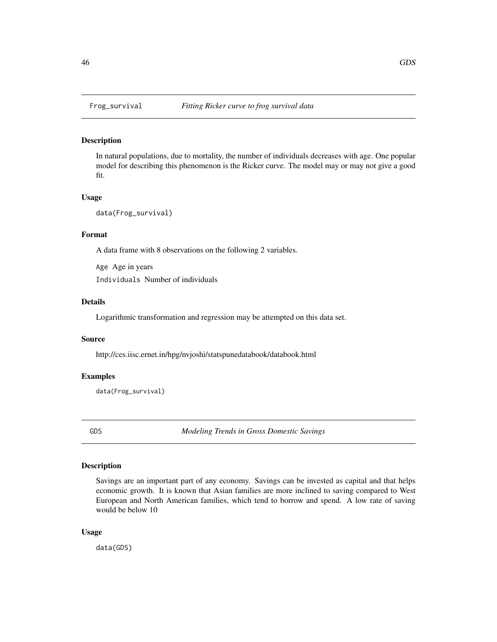In natural populations, due to mortality, the number of individuals decreases with age. One popular model for describing this phenomenon is the Ricker curve. The model may or may not give a good fit.

### Usage

```
data(Frog_survival)
```
# Format

A data frame with 8 observations on the following 2 variables.

Age Age in years Individuals Number of individuals

### Details

Logarithmic transformation and regression may be attempted on this data set.

### Source

http://ces.iisc.ernet.in/hpg/nvjoshi/statspunedatabook/databook.html

# Examples

data(Frog\_survival)

GDS *Modeling Trends in Gross Domestic Savings*

#### Description

Savings are an important part of any economy. Savings can be invested as capital and that helps economic growth. It is known that Asian families are more inclined to saving compared to West European and North American families, which tend to borrow and spend. A low rate of saving would be below 10

#### Usage

data(GDS)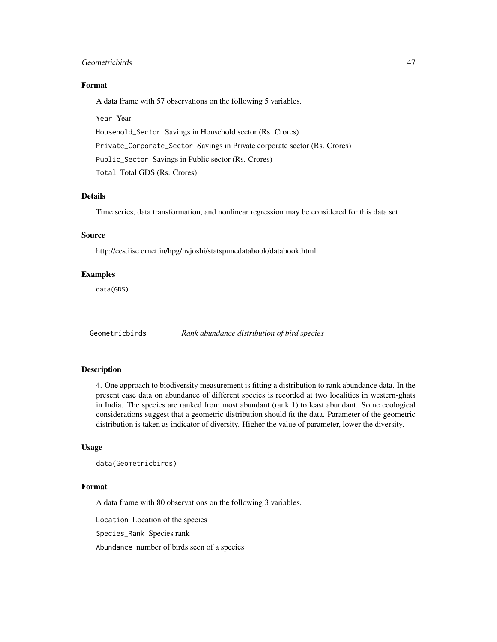# Geometricbirds 47

# Format

A data frame with 57 observations on the following 5 variables.

Year Year

Household\_Sector Savings in Household sector (Rs. Crores)

Private\_Corporate\_Sector Savings in Private corporate sector (Rs. Crores)

Public\_Sector Savings in Public sector (Rs. Crores)

Total Total GDS (Rs. Crores)

# Details

Time series, data transformation, and nonlinear regression may be considered for this data set.

# Source

http://ces.iisc.ernet.in/hpg/nvjoshi/statspunedatabook/databook.html

# Examples

data(GDS)

Geometricbirds *Rank abundance distribution of bird species*

# Description

4. One approach to biodiversity measurement is fitting a distribution to rank abundance data. In the present case data on abundance of different species is recorded at two localities in western-ghats in India. The species are ranked from most abundant (rank 1) to least abundant. Some ecological considerations suggest that a geometric distribution should fit the data. Parameter of the geometric distribution is taken as indicator of diversity. Higher the value of parameter, lower the diversity.

# Usage

```
data(Geometricbirds)
```
# Format

A data frame with 80 observations on the following 3 variables.

Location Location of the species

Species\_Rank Species rank

Abundance number of birds seen of a species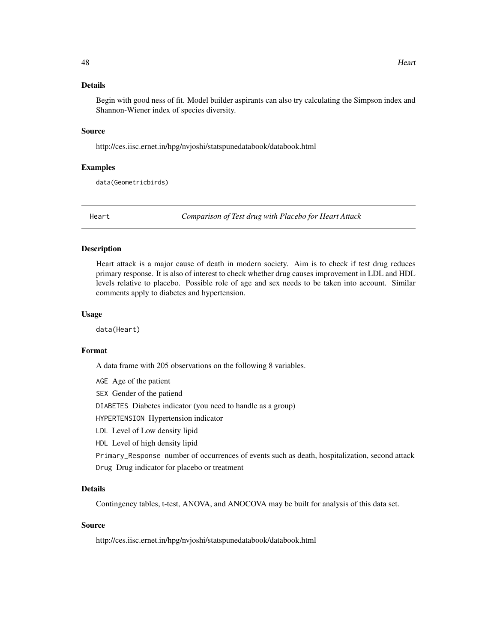Begin with good ness of fit. Model builder aspirants can also try calculating the Simpson index and Shannon-Wiener index of species diversity.

# Source

http://ces.iisc.ernet.in/hpg/nvjoshi/statspunedatabook/databook.html

# Examples

data(Geometricbirds)

Heart *Comparison of Test drug with Placebo for Heart Attack*

### Description

Heart attack is a major cause of death in modern society. Aim is to check if test drug reduces primary response. It is also of interest to check whether drug causes improvement in LDL and HDL levels relative to placebo. Possible role of age and sex needs to be taken into account. Similar comments apply to diabetes and hypertension.

### Usage

data(Heart)

#### Format

A data frame with 205 observations on the following 8 variables.

AGE Age of the patient SEX Gender of the patiend DIABETES Diabetes indicator (you need to handle as a group) HYPERTENSION Hypertension indicator LDL Level of Low density lipid HDL Level of high density lipid Primary\_Response number of occurrences of events such as death, hospitalization, second attack Drug Drug indicator for placebo or treatment

# Details

Contingency tables, t-test, ANOVA, and ANOCOVA may be built for analysis of this data set.

# Source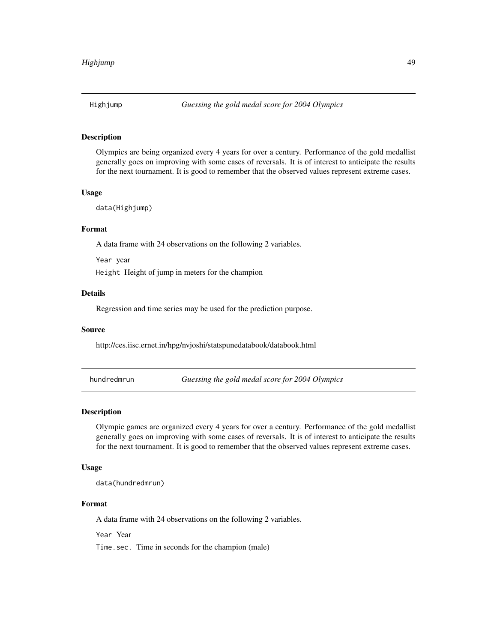Olympics are being organized every 4 years for over a century. Performance of the gold medallist generally goes on improving with some cases of reversals. It is of interest to anticipate the results for the next tournament. It is good to remember that the observed values represent extreme cases.

#### Usage

```
data(Highjump)
```
#### Format

A data frame with 24 observations on the following 2 variables.

Year year Height Height of jump in meters for the champion

# Details

Regression and time series may be used for the prediction purpose.

# Source

http://ces.iisc.ernet.in/hpg/nvjoshi/statspunedatabook/databook.html

hundredmrun *Guessing the gold medal score for 2004 Olympics*

#### Description

Olympic games are organized every 4 years for over a century. Performance of the gold medallist generally goes on improving with some cases of reversals. It is of interest to anticipate the results for the next tournament. It is good to remember that the observed values represent extreme cases.

# Usage

data(hundredmrun)

# Format

A data frame with 24 observations on the following 2 variables.

Year Year

Time.sec. Time in seconds for the champion (male)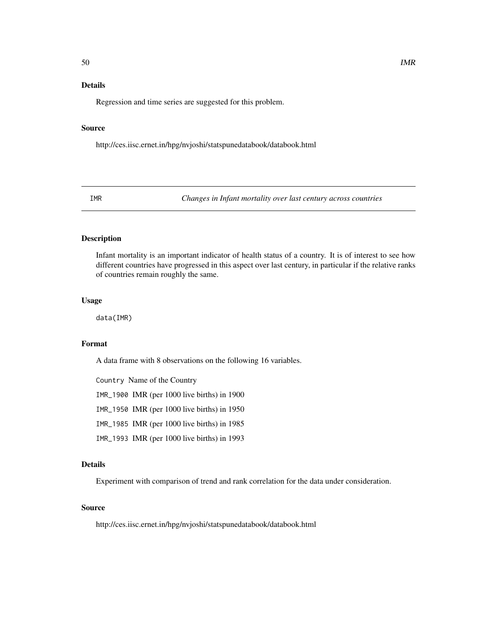# Details

Regression and time series are suggested for this problem.

# Source

http://ces.iisc.ernet.in/hpg/nvjoshi/statspunedatabook/databook.html

IMR *Changes in Infant mortality over last century across countries*

# Description

Infant mortality is an important indicator of health status of a country. It is of interest to see how different countries have progressed in this aspect over last century, in particular if the relative ranks of countries remain roughly the same.

### Usage

data(IMR)

# Format

A data frame with 8 observations on the following 16 variables.

Country Name of the Country

IMR\_1900 IMR (per 1000 live births) in 1900

IMR\_1950 IMR (per 1000 live births) in 1950

IMR\_1985 IMR (per 1000 live births) in 1985

IMR\_1993 IMR (per 1000 live births) in 1993

# Details

Experiment with comparison of trend and rank correlation for the data under consideration.

# Source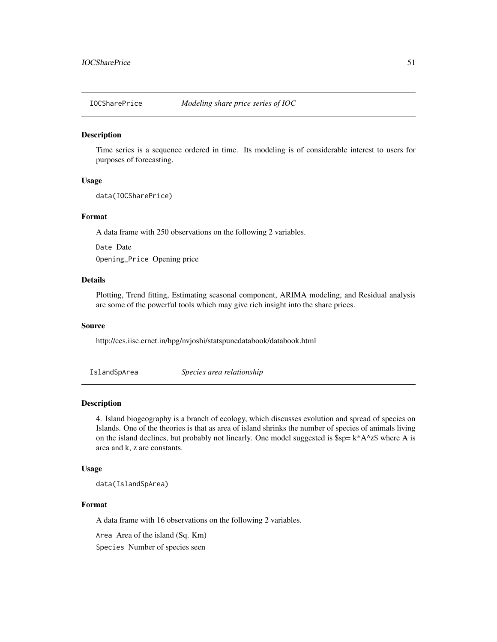Time series is a sequence ordered in time. Its modeling is of considerable interest to users for purposes of forecasting.

### Usage

data(IOCSharePrice)

### Format

A data frame with 250 observations on the following 2 variables.

Date Date Opening\_Price Opening price

# Details

Plotting, Trend fitting, Estimating seasonal component, ARIMA modeling, and Residual analysis are some of the powerful tools which may give rich insight into the share prices.

# Source

http://ces.iisc.ernet.in/hpg/nvjoshi/statspunedatabook/databook.html

IslandSpArea *Species area relationship*

#### Description

4. Island biogeography is a branch of ecology, which discusses evolution and spread of species on Islands. One of the theories is that as area of island shrinks the number of species of animals living on the island declines, but probably not linearly. One model suggested is  $\wp = k^*A^2 \$  where A is area and k, z are constants.

# Usage

data(IslandSpArea)

#### Format

A data frame with 16 observations on the following 2 variables.

Area Area of the island (Sq. Km)

Species Number of species seen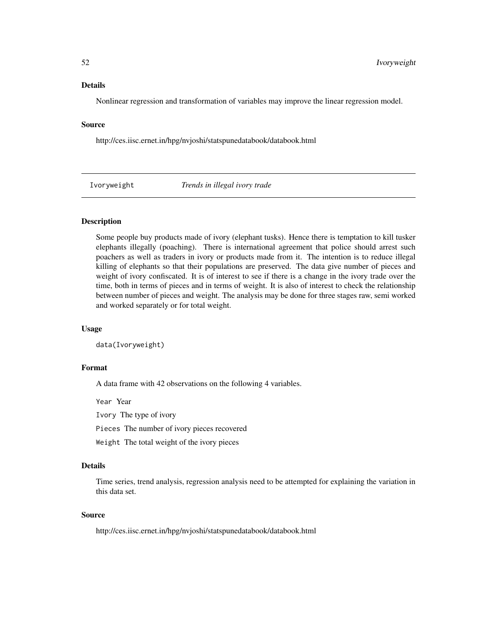#### Details

Nonlinear regression and transformation of variables may improve the linear regression model.

# Source

http://ces.iisc.ernet.in/hpg/nvjoshi/statspunedatabook/databook.html

Ivoryweight *Trends in illegal ivory trade*

# Description

Some people buy products made of ivory (elephant tusks). Hence there is temptation to kill tusker elephants illegally (poaching). There is international agreement that police should arrest such poachers as well as traders in ivory or products made from it. The intention is to reduce illegal killing of elephants so that their populations are preserved. The data give number of pieces and weight of ivory confiscated. It is of interest to see if there is a change in the ivory trade over the time, both in terms of pieces and in terms of weight. It is also of interest to check the relationship between number of pieces and weight. The analysis may be done for three stages raw, semi worked and worked separately or for total weight.

### Usage

data(Ivoryweight)

### Format

A data frame with 42 observations on the following 4 variables.

Year Year

Ivory The type of ivory

Pieces The number of ivory pieces recovered

Weight The total weight of the ivory pieces

# Details

Time series, trend analysis, regression analysis need to be attempted for explaining the variation in this data set.

#### Source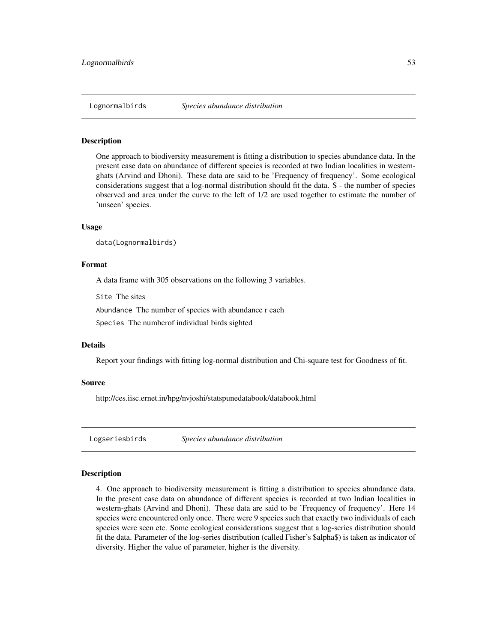One approach to biodiversity measurement is fitting a distribution to species abundance data. In the present case data on abundance of different species is recorded at two Indian localities in westernghats (Arvind and Dhoni). These data are said to be 'Frequency of frequency'. Some ecological considerations suggest that a log-normal distribution should fit the data. S - the number of species observed and area under the curve to the left of 1/2 are used together to estimate the number of 'unseen' species.

### Usage

data(Lognormalbirds)

### Format

A data frame with 305 observations on the following 3 variables.

Site The sites

Abundance The number of species with abundance r each

Species The numberof individual birds sighted

#### Details

Report your findings with fitting log-normal distribution and Chi-square test for Goodness of fit.

#### Source

http://ces.iisc.ernet.in/hpg/nvjoshi/statspunedatabook/databook.html

Logseriesbirds *Species abundance distribution*

### **Description**

4. One approach to biodiversity measurement is fitting a distribution to species abundance data. In the present case data on abundance of different species is recorded at two Indian localities in western-ghats (Arvind and Dhoni). These data are said to be 'Frequency of frequency'. Here 14 species were encountered only once. There were 9 species such that exactly two individuals of each species were seen etc. Some ecological considerations suggest that a log-series distribution should fit the data. Parameter of the log-series distribution (called Fisher's \$alpha\$) is taken as indicator of diversity. Higher the value of parameter, higher is the diversity.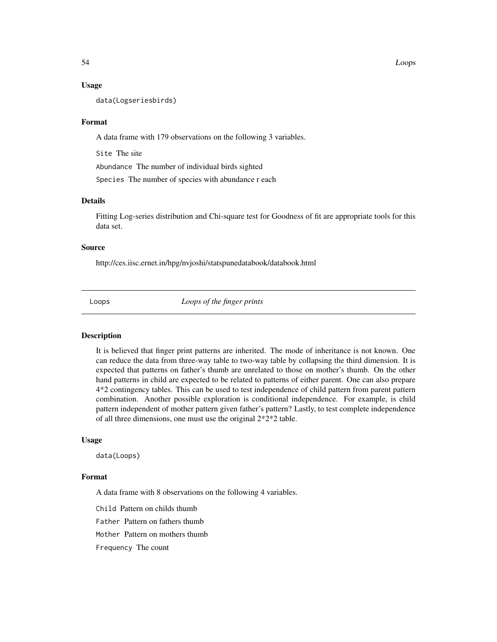#### Usage

data(Logseriesbirds)

### Format

A data frame with 179 observations on the following 3 variables.

Site The site

Abundance The number of individual birds sighted

Species The number of species with abundance r each

### Details

Fitting Log-series distribution and Chi-square test for Goodness of fit are appropriate tools for this data set.

#### Source

http://ces.iisc.ernet.in/hpg/nvjoshi/statspunedatabook/databook.html

Loops *Loops of the finger prints*

#### **Description**

It is believed that finger print patterns are inherited. The mode of inheritance is not known. One can reduce the data from three-way table to two-way table by collapsing the third dimension. It is expected that patterns on father's thumb are unrelated to those on mother's thumb. On the other hand patterns in child are expected to be related to patterns of either parent. One can also prepare 4\*2 contingency tables. This can be used to test independence of child pattern from parent pattern combination. Another possible exploration is conditional independence. For example, is child pattern independent of mother pattern given father's pattern? Lastly, to test complete independence of all three dimensions, one must use the original 2\*2\*2 table.

### Usage

data(Loops)

### Format

A data frame with 8 observations on the following 4 variables.

Child Pattern on childs thumb

Father Pattern on fathers thumb

Mother Pattern on mothers thumb

Frequency The count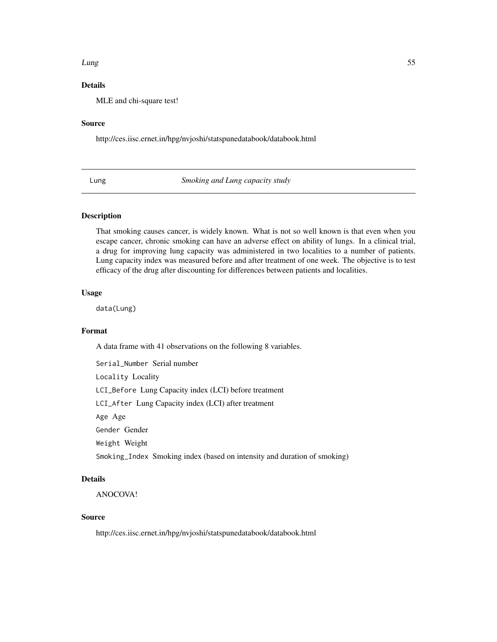#### Lung 55

# Details

MLE and chi-square test!

#### Source

http://ces.iisc.ernet.in/hpg/nvjoshi/statspunedatabook/databook.html

Lung *Smoking and Lung capacity study*

### Description

That smoking causes cancer, is widely known. What is not so well known is that even when you escape cancer, chronic smoking can have an adverse effect on ability of lungs. In a clinical trial, a drug for improving lung capacity was administered in two localities to a number of patients. Lung capacity index was measured before and after treatment of one week. The objective is to test efficacy of the drug after discounting for differences between patients and localities.

# Usage

data(Lung)

# Format

A data frame with 41 observations on the following 8 variables.

Serial\_Number Serial number

Locality Locality

LCI\_Before Lung Capacity index (LCI) before treatment

LCI\_After Lung Capacity index (LCI) after treatment

Age Age

Gender Gender

Weight Weight

Smoking\_Index Smoking index (based on intensity and duration of smoking)

### Details

ANOCOVA!

# Source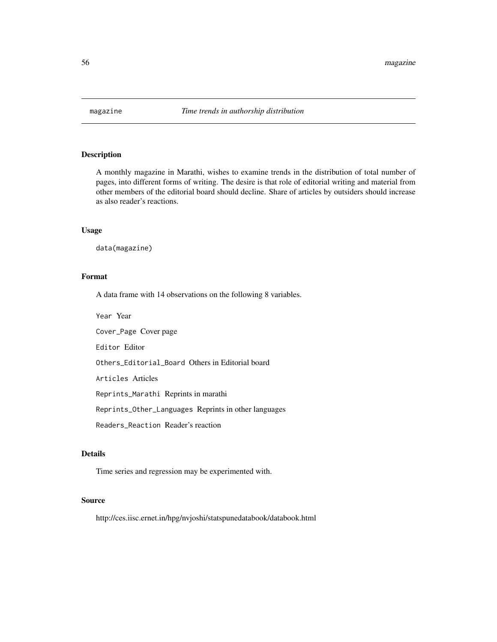A monthly magazine in Marathi, wishes to examine trends in the distribution of total number of pages, into different forms of writing. The desire is that role of editorial writing and material from other members of the editorial board should decline. Share of articles by outsiders should increase as also reader's reactions.

# Usage

data(magazine)

# Format

A data frame with 14 observations on the following 8 variables.

Year Year

Cover\_Page Cover page

Editor Editor

Others\_Editorial\_Board Others in Editorial board

Articles Articles

Reprints\_Marathi Reprints in marathi

Reprints\_Other\_Languages Reprints in other languages

Readers\_Reaction Reader's reaction

# Details

Time series and regression may be experimented with.

# Source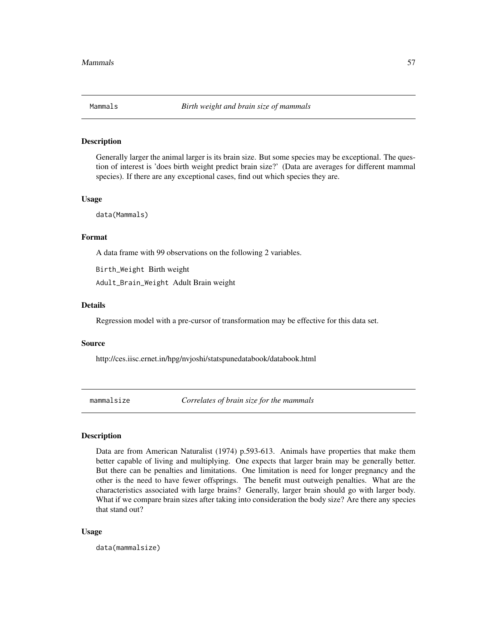Generally larger the animal larger is its brain size. But some species may be exceptional. The question of interest is 'does birth weight predict brain size?' (Data are averages for different mammal species). If there are any exceptional cases, find out which species they are.

### Usage

data(Mammals)

# Format

A data frame with 99 observations on the following 2 variables.

Birth\_Weight Birth weight Adult\_Brain\_Weight Adult Brain weight

### Details

Regression model with a pre-cursor of transformation may be effective for this data set.

#### Source

http://ces.iisc.ernet.in/hpg/nvjoshi/statspunedatabook/databook.html

mammalsize *Correlates of brain size for the mammals*

# Description

Data are from American Naturalist (1974) p.593-613. Animals have properties that make them better capable of living and multiplying. One expects that larger brain may be generally better. But there can be penalties and limitations. One limitation is need for longer pregnancy and the other is the need to have fewer offsprings. The benefit must outweigh penalties. What are the characteristics associated with large brains? Generally, larger brain should go with larger body. What if we compare brain sizes after taking into consideration the body size? Are there any species that stand out?

#### Usage

data(mammalsize)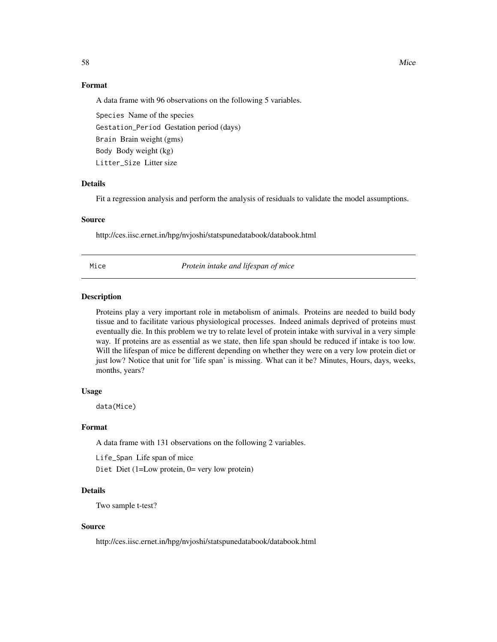# Format

A data frame with 96 observations on the following 5 variables.

Species Name of the species Gestation\_Period Gestation period (days) Brain Brain weight (gms) Body Body weight (kg) Litter\_Size Litter size

### Details

Fit a regression analysis and perform the analysis of residuals to validate the model assumptions.

### Source

http://ces.iisc.ernet.in/hpg/nvjoshi/statspunedatabook/databook.html

Mice *Protein intake and lifespan of mice*

# Description

Proteins play a very important role in metabolism of animals. Proteins are needed to build body tissue and to facilitate various physiological processes. Indeed animals deprived of proteins must eventually die. In this problem we try to relate level of protein intake with survival in a very simple way. If proteins are as essential as we state, then life span should be reduced if intake is too low. Will the lifespan of mice be different depending on whether they were on a very low protein diet or just low? Notice that unit for 'life span' is missing. What can it be? Minutes, Hours, days, weeks, months, years?

# Usage

data(Mice)

# Format

A data frame with 131 observations on the following 2 variables.

Life\_Span Life span of mice Diet Diet (1=Low protein, 0= very low protein)

# Details

Two sample t-test?

#### Source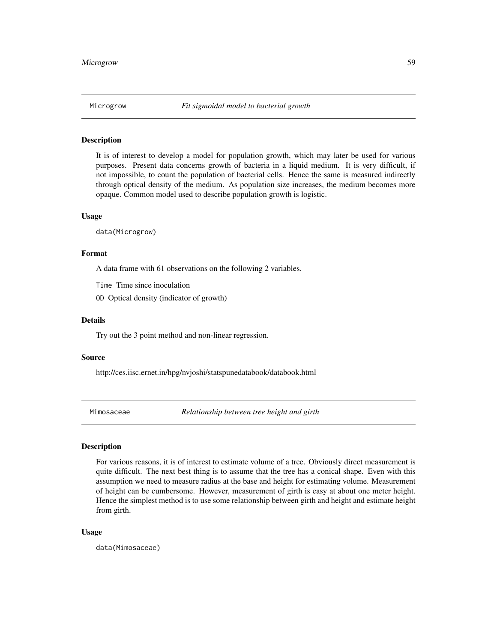It is of interest to develop a model for population growth, which may later be used for various purposes. Present data concerns growth of bacteria in a liquid medium. It is very difficult, if not impossible, to count the population of bacterial cells. Hence the same is measured indirectly through optical density of the medium. As population size increases, the medium becomes more opaque. Common model used to describe population growth is logistic.

### Usage

data(Microgrow)

# Format

A data frame with 61 observations on the following 2 variables.

Time Time since inoculation

OD Optical density (indicator of growth)

### Details

Try out the 3 point method and non-linear regression.

#### Source

http://ces.iisc.ernet.in/hpg/nvjoshi/statspunedatabook/databook.html

Mimosaceae *Relationship between tree height and girth*

# Description

For various reasons, it is of interest to estimate volume of a tree. Obviously direct measurement is quite difficult. The next best thing is to assume that the tree has a conical shape. Even with this assumption we need to measure radius at the base and height for estimating volume. Measurement of height can be cumbersome. However, measurement of girth is easy at about one meter height. Hence the simplest method is to use some relationship between girth and height and estimate height from girth.

#### Usage

data(Mimosaceae)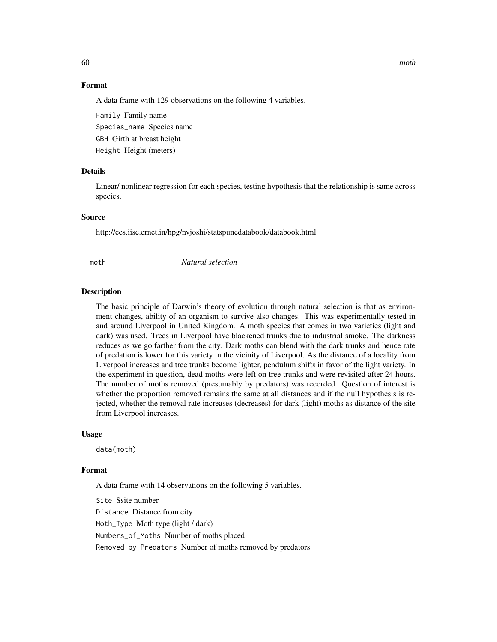# Format

A data frame with 129 observations on the following 4 variables.

Family Family name Species\_name Species name GBH Girth at breast height Height Height (meters)

# Details

Linear/ nonlinear regression for each species, testing hypothesis that the relationship is same across species.

### Source

http://ces.iisc.ernet.in/hpg/nvjoshi/statspunedatabook/databook.html

moth *Natural selection*

#### Description

The basic principle of Darwin's theory of evolution through natural selection is that as environment changes, ability of an organism to survive also changes. This was experimentally tested in and around Liverpool in United Kingdom. A moth species that comes in two varieties (light and dark) was used. Trees in Liverpool have blackened trunks due to industrial smoke. The darkness reduces as we go farther from the city. Dark moths can blend with the dark trunks and hence rate of predation is lower for this variety in the vicinity of Liverpool. As the distance of a locality from Liverpool increases and tree trunks become lighter, pendulum shifts in favor of the light variety. In the experiment in question, dead moths were left on tree trunks and were revisited after 24 hours. The number of moths removed (presumably by predators) was recorded. Question of interest is whether the proportion removed remains the same at all distances and if the null hypothesis is rejected, whether the removal rate increases (decreases) for dark (light) moths as distance of the site from Liverpool increases.

#### Usage

data(moth)

#### Format

A data frame with 14 observations on the following 5 variables. Site Ssite number Distance Distance from city Moth\_Type Moth type (light / dark) Numbers\_of\_Moths Number of moths placed Removed\_by\_Predators Number of moths removed by predators

60 moth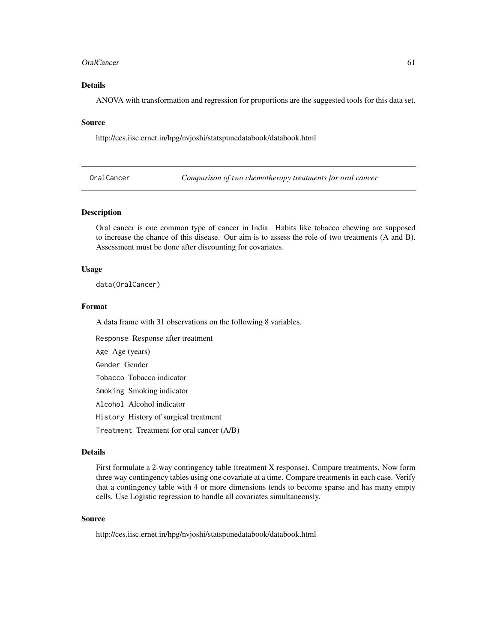### OralCancer 61

# Details

ANOVA with transformation and regression for proportions are the suggested tools for this data set.

### Source

http://ces.iisc.ernet.in/hpg/nvjoshi/statspunedatabook/databook.html

OralCancer *Comparison of two chemotherapy treatments for oral cancer*

### Description

Oral cancer is one common type of cancer in India. Habits like tobacco chewing are supposed to increase the chance of this disease. Our aim is to assess the role of two treatments (A and B). Assessment must be done after discounting for covariates.

#### Usage

data(OralCancer)

# Format

A data frame with 31 observations on the following 8 variables.

Response Response after treatment

Age Age (years)

Gender Gender

Tobacco Tobacco indicator

Smoking Smoking indicator

Alcohol Alcohol indicator

History History of surgical treatment

Treatment Treatment for oral cancer (A/B)

# Details

First formulate a 2-way contingency table (treatment X response). Compare treatments. Now form three way contingency tables using one covariate at a time. Compare treatments in each case. Verify that a contingency table with 4 or more dimensions tends to become sparse and has many empty cells. Use Logistic regression to handle all covariates simultaneously.

# Source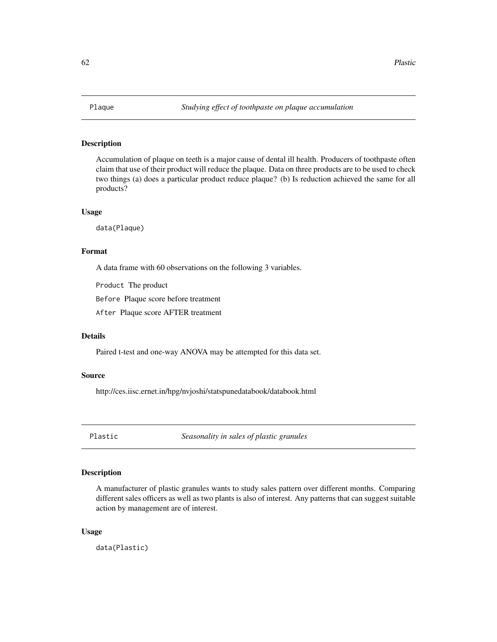Accumulation of plaque on teeth is a major cause of dental ill health. Producers of toothpaste often claim that use of their product will reduce the plaque. Data on three products are to be used to check two things (a) does a particular product reduce plaque? (b) Is reduction achieved the same for all products?

### Usage

data(Plaque)

# Format

A data frame with 60 observations on the following 3 variables.

Product The product

Before Plaque score before treatment

After Plaque score AFTER treatment

#### Details

Paired t-test and one-way ANOVA may be attempted for this data set.

# Source

http://ces.iisc.ernet.in/hpg/nvjoshi/statspunedatabook/databook.html

Plastic *Seasonality in sales of plastic granules*

# Description

A manufacturer of plastic granules wants to study sales pattern over different months. Comparing different sales officers as well as two plants is also of interest. Any patterns that can suggest suitable action by management are of interest.

### Usage

data(Plastic)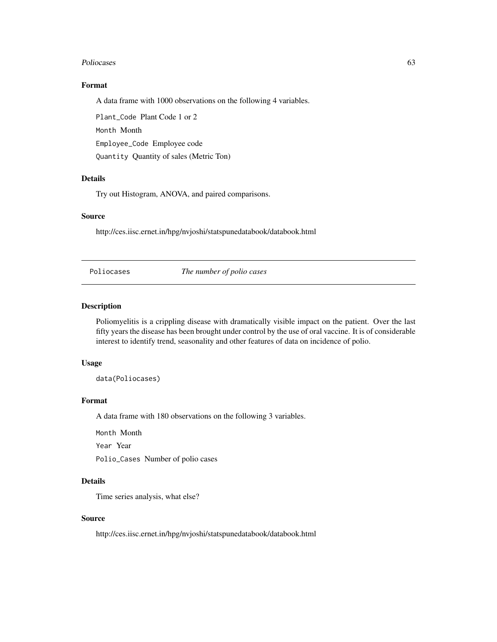#### Poliocases 63

# Format

A data frame with 1000 observations on the following 4 variables.

Plant\_Code Plant Code 1 or 2 Month Month Employee\_Code Employee code Quantity Quantity of sales (Metric Ton)

# Details

Try out Histogram, ANOVA, and paired comparisons.

### Source

http://ces.iisc.ernet.in/hpg/nvjoshi/statspunedatabook/databook.html

Poliocases *The number of polio cases*

### Description

Poliomyelitis is a crippling disease with dramatically visible impact on the patient. Over the last fifty years the disease has been brought under control by the use of oral vaccine. It is of considerable interest to identify trend, seasonality and other features of data on incidence of polio.

### Usage

data(Poliocases)

# Format

A data frame with 180 observations on the following 3 variables.

Month Month

Year Year

Polio\_Cases Number of polio cases

# Details

Time series analysis, what else?

# Source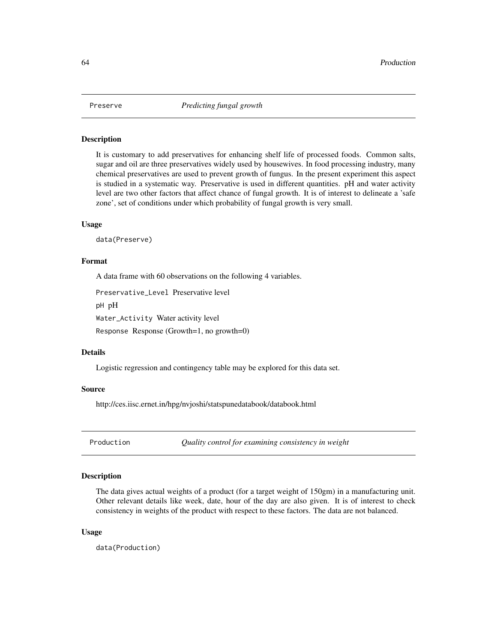It is customary to add preservatives for enhancing shelf life of processed foods. Common salts, sugar and oil are three preservatives widely used by housewives. In food processing industry, many chemical preservatives are used to prevent growth of fungus. In the present experiment this aspect is studied in a systematic way. Preservative is used in different quantities. pH and water activity level are two other factors that affect chance of fungal growth. It is of interest to delineate a 'safe zone', set of conditions under which probability of fungal growth is very small.

# Usage

data(Preserve)

### Format

A data frame with 60 observations on the following 4 variables.

Preservative\_Level Preservative level

pH pH

Water\_Activity Water activity level

Response Response (Growth=1, no growth=0)

#### Details

Logistic regression and contingency table may be explored for this data set.

#### Source

http://ces.iisc.ernet.in/hpg/nvjoshi/statspunedatabook/databook.html

Production *Quality control for examining consistency in weight*

# Description

The data gives actual weights of a product (for a target weight of 150gm) in a manufacturing unit. Other relevant details like week, date, hour of the day are also given. It is of interest to check consistency in weights of the product with respect to these factors. The data are not balanced.

#### Usage

data(Production)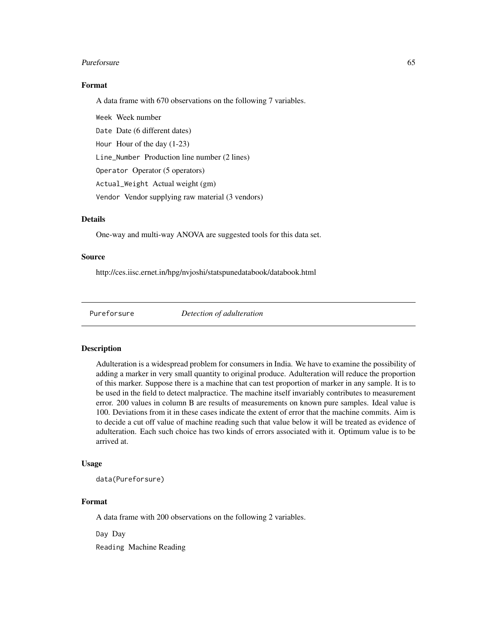#### Pureforsure 65

# Format

A data frame with 670 observations on the following 7 variables.

Week Week number Date Date (6 different dates) Hour Hour of the day (1-23) Line\_Number Production line number (2 lines) Operator Operator (5 operators) Actual\_Weight Actual weight (gm) Vendor Vendor supplying raw material (3 vendors)

# Details

One-way and multi-way ANOVA are suggested tools for this data set.

# Source

http://ces.iisc.ernet.in/hpg/nvjoshi/statspunedatabook/databook.html

Pureforsure *Detection of adulteration*

### Description

Adulteration is a widespread problem for consumers in India. We have to examine the possibility of adding a marker in very small quantity to original produce. Adulteration will reduce the proportion of this marker. Suppose there is a machine that can test proportion of marker in any sample. It is to be used in the field to detect malpractice. The machine itself invariably contributes to measurement error. 200 values in column B are results of measurements on known pure samples. Ideal value is 100. Deviations from it in these cases indicate the extent of error that the machine commits. Aim is to decide a cut off value of machine reading such that value below it will be treated as evidence of adulteration. Each such choice has two kinds of errors associated with it. Optimum value is to be arrived at.

# Usage

data(Pureforsure)

# Format

A data frame with 200 observations on the following 2 variables.

Day Day

Reading Machine Reading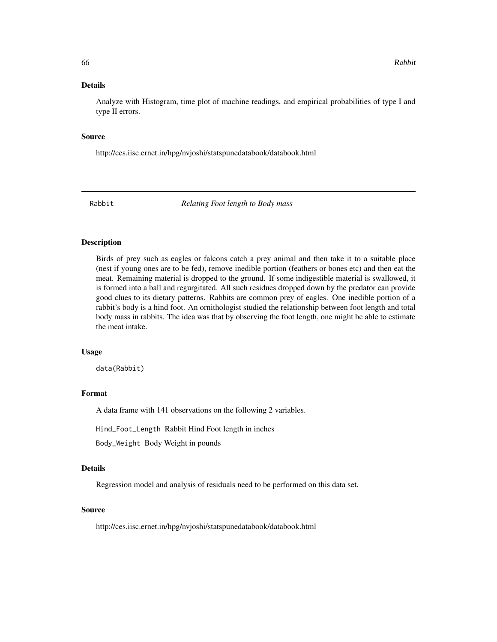Analyze with Histogram, time plot of machine readings, and empirical probabilities of type I and type II errors.

#### Source

http://ces.iisc.ernet.in/hpg/nvjoshi/statspunedatabook/databook.html

Rabbit *Relating Foot length to Body mass*

### Description

Birds of prey such as eagles or falcons catch a prey animal and then take it to a suitable place (nest if young ones are to be fed), remove inedible portion (feathers or bones etc) and then eat the meat. Remaining material is dropped to the ground. If some indigestible material is swallowed, it is formed into a ball and regurgitated. All such residues dropped down by the predator can provide good clues to its dietary patterns. Rabbits are common prey of eagles. One inedible portion of a rabbit's body is a hind foot. An ornithologist studied the relationship between foot length and total body mass in rabbits. The idea was that by observing the foot length, one might be able to estimate the meat intake.

### Usage

data(Rabbit)

# Format

A data frame with 141 observations on the following 2 variables.

Hind\_Foot\_Length Rabbit Hind Foot length in inches

Body\_Weight Body Weight in pounds

# Details

Regression model and analysis of residuals need to be performed on this data set.

#### Source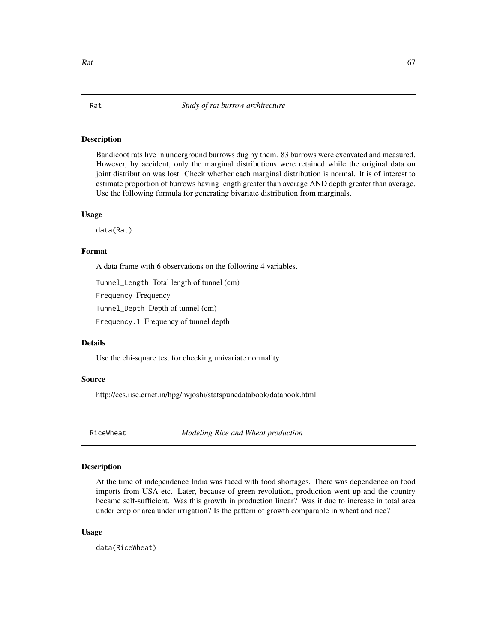Bandicoot rats live in underground burrows dug by them. 83 burrows were excavated and measured. However, by accident, only the marginal distributions were retained while the original data on joint distribution was lost. Check whether each marginal distribution is normal. It is of interest to estimate proportion of burrows having length greater than average AND depth greater than average. Use the following formula for generating bivariate distribution from marginals.

#### Usage

data(Rat)

# Format

A data frame with 6 observations on the following 4 variables.

Tunnel\_Length Total length of tunnel (cm)

Frequency Frequency

Tunnel\_Depth Depth of tunnel (cm)

Frequency.1 Frequency of tunnel depth

# Details

Use the chi-square test for checking univariate normality.

# Source

http://ces.iisc.ernet.in/hpg/nvjoshi/statspunedatabook/databook.html

RiceWheat *Modeling Rice and Wheat production*

# Description

At the time of independence India was faced with food shortages. There was dependence on food imports from USA etc. Later, because of green revolution, production went up and the country became self-sufficient. Was this growth in production linear? Was it due to increase in total area under crop or area under irrigation? Is the pattern of growth comparable in wheat and rice?

#### Usage

data(RiceWheat)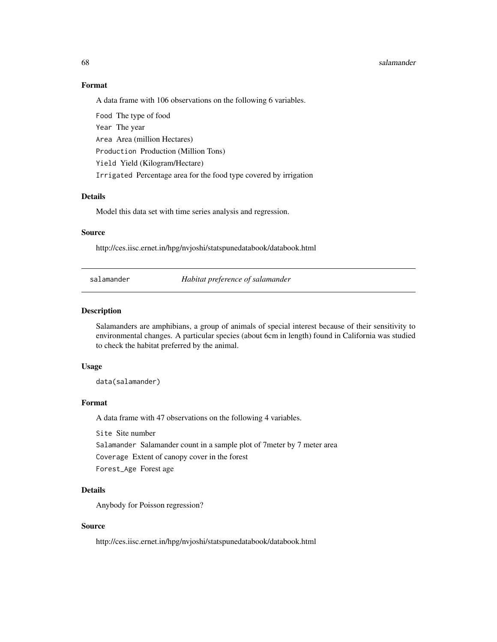#### 68 salamander

### Format

A data frame with 106 observations on the following 6 variables.

Food The type of food Year The year Area Area (million Hectares) Production Production (Million Tons) Yield Yield (Kilogram/Hectare) Irrigated Percentage area for the food type covered by irrigation

# Details

Model this data set with time series analysis and regression.

# Source

http://ces.iisc.ernet.in/hpg/nvjoshi/statspunedatabook/databook.html

salamander *Habitat preference of salamander*

#### Description

Salamanders are amphibians, a group of animals of special interest because of their sensitivity to environmental changes. A particular species (about 6cm in length) found in California was studied to check the habitat preferred by the animal.

# Usage

data(salamander)

### Format

A data frame with 47 observations on the following 4 variables.

Site Site number

Salamander Salamander count in a sample plot of 7meter by 7 meter area

Coverage Extent of canopy cover in the forest

Forest\_Age Forest age

### Details

Anybody for Poisson regression?

# Source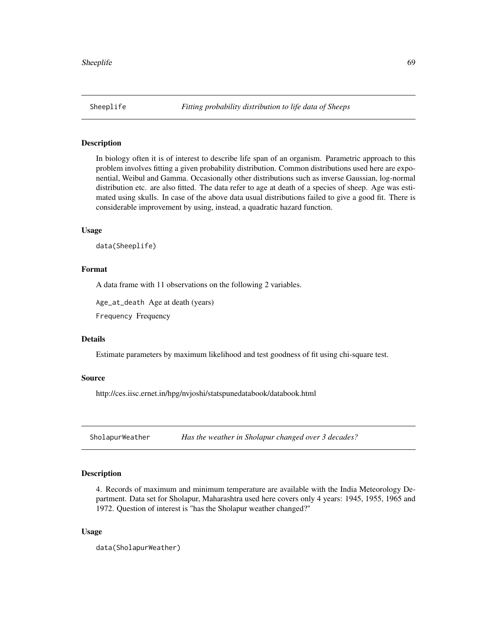In biology often it is of interest to describe life span of an organism. Parametric approach to this problem involves fitting a given probability distribution. Common distributions used here are exponential, Weibul and Gamma. Occasionally other distributions such as inverse Gaussian, log-normal distribution etc. are also fitted. The data refer to age at death of a species of sheep. Age was estimated using skulls. In case of the above data usual distributions failed to give a good fit. There is considerable improvement by using, instead, a quadratic hazard function.

# Usage

data(Sheeplife)

### Format

A data frame with 11 observations on the following 2 variables.

Age\_at\_death Age at death (years)

Frequency Frequency

# Details

Estimate parameters by maximum likelihood and test goodness of fit using chi-square test.

# Source

http://ces.iisc.ernet.in/hpg/nvjoshi/statspunedatabook/databook.html

SholapurWeather *Has the weather in Sholapur changed over 3 decades?*

# **Description**

4. Records of maximum and minimum temperature are available with the India Meteorology Department. Data set for Sholapur, Maharashtra used here covers only 4 years: 1945, 1955, 1965 and 1972. Question of interest is "has the Sholapur weather changed?"

### Usage

```
data(SholapurWeather)
```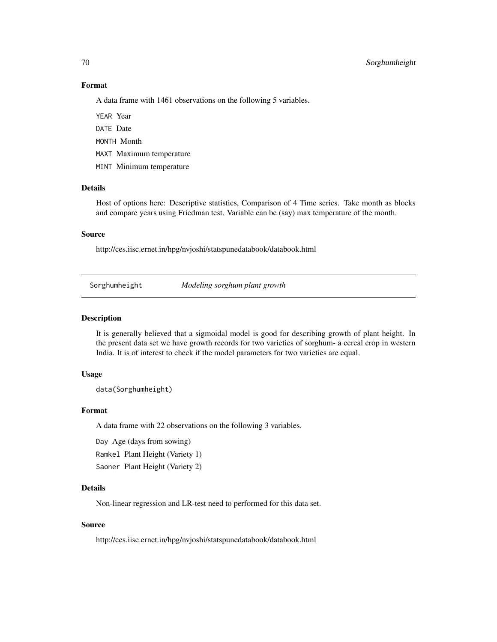### Format

A data frame with 1461 observations on the following 5 variables.

YEAR Year DATE Date

MONTH Month

MAXT Maximum temperature

MINT Minimum temperature

# Details

Host of options here: Descriptive statistics, Comparison of 4 Time series. Take month as blocks and compare years using Friedman test. Variable can be (say) max temperature of the month.

# Source

http://ces.iisc.ernet.in/hpg/nvjoshi/statspunedatabook/databook.html

Sorghumheight *Modeling sorghum plant growth*

#### Description

It is generally believed that a sigmoidal model is good for describing growth of plant height. In the present data set we have growth records for two varieties of sorghum- a cereal crop in western India. It is of interest to check if the model parameters for two varieties are equal.

# Usage

data(Sorghumheight)

#### Format

A data frame with 22 observations on the following 3 variables.

Day Age (days from sowing)

Ramkel Plant Height (Variety 1)

Saoner Plant Height (Variety 2)

### Details

Non-linear regression and LR-test need to performed for this data set.

# Source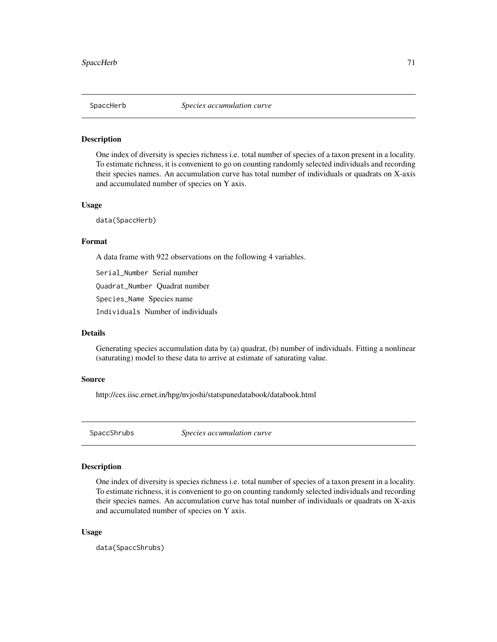One index of diversity is species richness i.e. total number of species of a taxon present in a locality. To estimate richness, it is convenient to go on counting randomly selected individuals and recording their species names. An accumulation curve has total number of individuals or quadrats on X-axis and accumulated number of species on Y axis.

### Usage

data(SpaccHerb)

### Format

A data frame with 922 observations on the following 4 variables.

Serial\_Number Serial number

Quadrat\_Number Quadrat number

Species\_Name Species name

Individuals Number of individuals

# Details

Generating species accumulation data by (a) quadrat, (b) number of individuals. Fitting a nonlinear (saturating) model to these data to arrive at estimate of saturating value.

# Source

http://ces.iisc.ernet.in/hpg/nvjoshi/statspunedatabook/databook.html

SpaccShrubs *Species accumulation curve*

# Description

One index of diversity is species richness i.e. total number of species of a taxon present in a locality. To estimate richness, it is convenient to go on counting randomly selected individuals and recording their species names. An accumulation curve has total number of individuals or quadrats on X-axis and accumulated number of species on Y axis.

#### Usage

data(SpaccShrubs)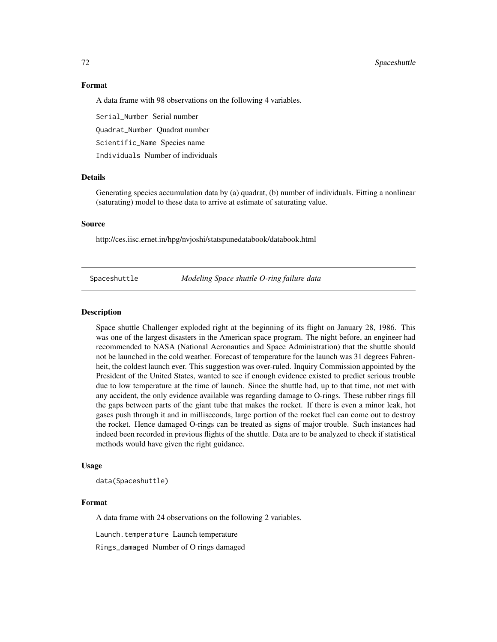# 72 Spaceshuttle

### Format

A data frame with 98 observations on the following 4 variables.

Serial\_Number Serial number

Quadrat\_Number Quadrat number

Scientific\_Name Species name

Individuals Number of individuals

# Details

Generating species accumulation data by (a) quadrat, (b) number of individuals. Fitting a nonlinear (saturating) model to these data to arrive at estimate of saturating value.

#### Source

http://ces.iisc.ernet.in/hpg/nvjoshi/statspunedatabook/databook.html

Spaceshuttle *Modeling Space shuttle O-ring failure data*

### **Description**

Space shuttle Challenger exploded right at the beginning of its flight on January 28, 1986. This was one of the largest disasters in the American space program. The night before, an engineer had recommended to NASA (National Aeronautics and Space Administration) that the shuttle should not be launched in the cold weather. Forecast of temperature for the launch was 31 degrees Fahrenheit, the coldest launch ever. This suggestion was over-ruled. Inquiry Commission appointed by the President of the United States, wanted to see if enough evidence existed to predict serious trouble due to low temperature at the time of launch. Since the shuttle had, up to that time, not met with any accident, the only evidence available was regarding damage to O-rings. These rubber rings fill the gaps between parts of the giant tube that makes the rocket. If there is even a minor leak, hot gases push through it and in milliseconds, large portion of the rocket fuel can come out to destroy the rocket. Hence damaged O-rings can be treated as signs of major trouble. Such instances had indeed been recorded in previous flights of the shuttle. Data are to be analyzed to check if statistical methods would have given the right guidance.

#### Usage

data(Spaceshuttle)

#### Format

A data frame with 24 observations on the following 2 variables.

Launch.temperature Launch temperature

Rings\_damaged Number of O rings damaged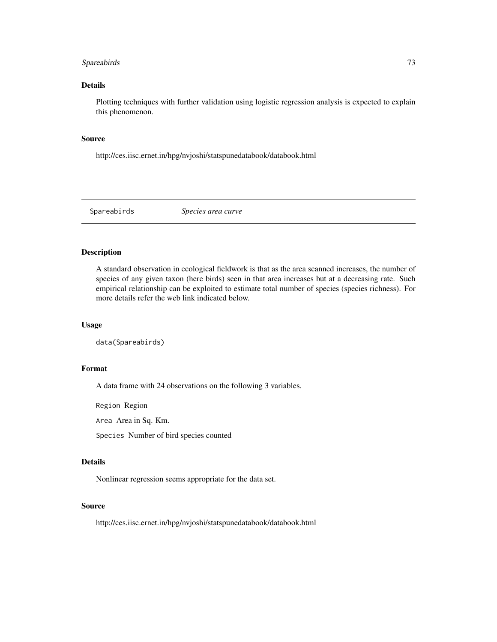# <span id="page-72-0"></span>Spareabirds 73

## Details

Plotting techniques with further validation using logistic regression analysis is expected to explain this phenomenon.

## Source

http://ces.iisc.ernet.in/hpg/nvjoshi/statspunedatabook/databook.html

Spareabirds *Species area curve*

## Description

A standard observation in ecological fieldwork is that as the area scanned increases, the number of species of any given taxon (here birds) seen in that area increases but at a decreasing rate. Such empirical relationship can be exploited to estimate total number of species (species richness). For more details refer the web link indicated below.

## Usage

data(Spareabirds)

#### Format

A data frame with 24 observations on the following 3 variables.

Region Region

Area Area in Sq. Km.

Species Number of bird species counted

#### Details

Nonlinear regression seems appropriate for the data set.

## Source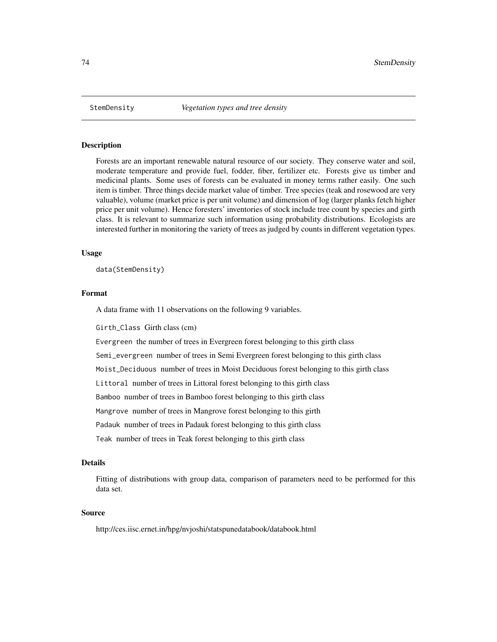<span id="page-73-0"></span>

Forests are an important renewable natural resource of our society. They conserve water and soil, moderate temperature and provide fuel, fodder, fiber, fertilizer etc. Forests give us timber and medicinal plants. Some uses of forests can be evaluated in money terms rather easily. One such item is timber. Three things decide market value of timber. Tree species (teak and rosewood are very valuable), volume (market price is per unit volume) and dimension of log (larger planks fetch higher price per unit volume). Hence foresters' inventories of stock include tree count by species and girth class. It is relevant to summarize such information using probability distributions. Ecologists are interested further in monitoring the variety of trees as judged by counts in different vegetation types.

#### Usage

data(StemDensity)

## Format

A data frame with 11 observations on the following 9 variables.

Girth\_Class Girth class (cm)

Evergreen the number of trees in Evergreen forest belonging to this girth class

Semi\_evergreen number of trees in Semi Evergreen forest belonging to this girth class

Moist\_Deciduous number of trees in Moist Deciduous forest belonging to this girth class

Littoral number of trees in Littoral forest belonging to this girth class

Bamboo number of trees in Bamboo forest belonging to this girth class

Mangrove number of trees in Mangrove forest belonging to this girth

Padauk number of trees in Padauk forest belonging to this girth class

Teak number of trees in Teak forest belonging to this girth class

## Details

Fitting of distributions with group data, comparison of parameters need to be performed for this data set.

## Source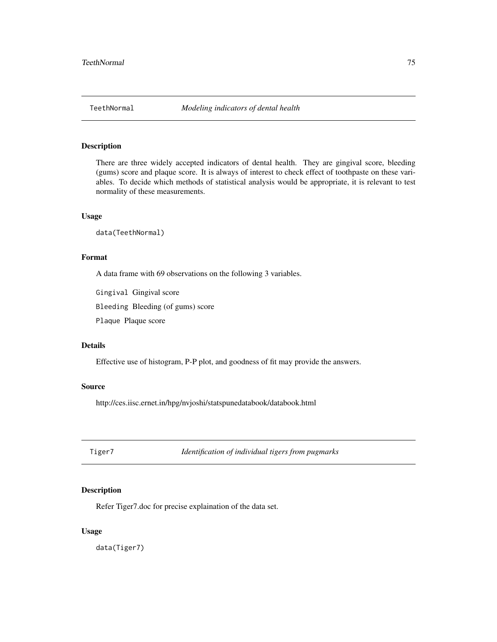<span id="page-74-0"></span>

There are three widely accepted indicators of dental health. They are gingival score, bleeding (gums) score and plaque score. It is always of interest to check effect of toothpaste on these variables. To decide which methods of statistical analysis would be appropriate, it is relevant to test normality of these measurements.

#### Usage

data(TeethNormal)

# Format

A data frame with 69 observations on the following 3 variables.

Gingival Gingival score

Bleeding Bleeding (of gums) score

Plaque Plaque score

## Details

Effective use of histogram, P-P plot, and goodness of fit may provide the answers.

#### Source

http://ces.iisc.ernet.in/hpg/nvjoshi/statspunedatabook/databook.html

Tiger7 *Identification of individual tigers from pugmarks*

# Description

Refer Tiger7.doc for precise explaination of the data set.

# Usage

data(Tiger7)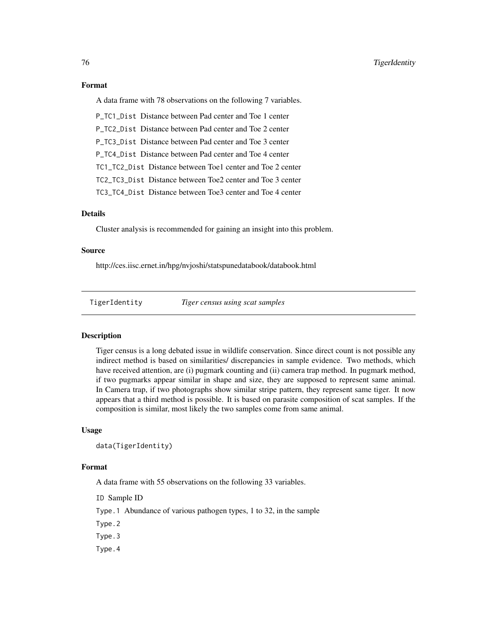## <span id="page-75-0"></span>Format

A data frame with 78 observations on the following 7 variables.

P\_TC1\_Dist Distance between Pad center and Toe 1 center P\_TC2\_Dist Distance between Pad center and Toe 2 center P\_TC3\_Dist Distance between Pad center and Toe 3 center P\_TC4\_Dist Distance between Pad center and Toe 4 center TC1\_TC2\_Dist Distance between Toe1 center and Toe 2 center TC2\_TC3\_Dist Distance between Toe2 center and Toe 3 center TC3\_TC4\_Dist Distance between Toe3 center and Toe 4 center

# Details

Cluster analysis is recommended for gaining an insight into this problem.

### Source

http://ces.iisc.ernet.in/hpg/nvjoshi/statspunedatabook/databook.html

TigerIdentity *Tiger census using scat samples*

## **Description**

Tiger census is a long debated issue in wildlife conservation. Since direct count is not possible any indirect method is based on similarities/ discrepancies in sample evidence. Two methods, which have received attention, are (i) pugmark counting and (ii) camera trap method. In pugmark method, if two pugmarks appear similar in shape and size, they are supposed to represent same animal. In Camera trap, if two photographs show similar stripe pattern, they represent same tiger. It now appears that a third method is possible. It is based on parasite composition of scat samples. If the composition is similar, most likely the two samples come from same animal.

### Usage

```
data(TigerIdentity)
```
#### Format

A data frame with 55 observations on the following 33 variables.

ID Sample ID

- Type.1 Abundance of various pathogen types, 1 to 32, in the sample
- Type.2

Type.3

Type.4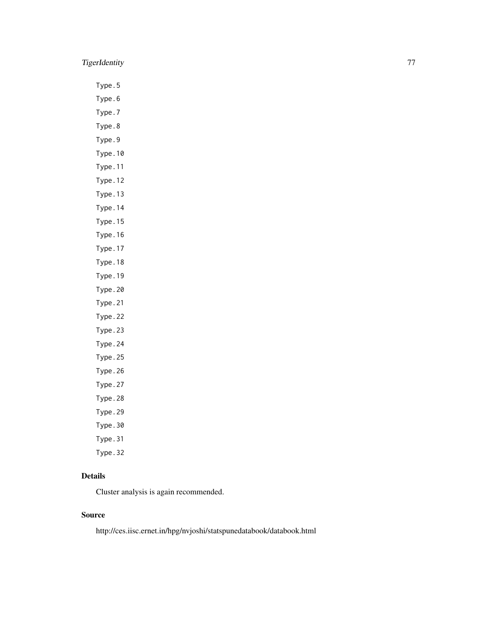# TigerIdentity 77

Type.5

Type.6 Type.7

Type.8

Type.9

Type.10

Type.11

Type.12

Type.13

Type.14

Type.15

Type.16

Type.17

Type.18

Type.19 Type.20

Type.21

Type.22

Type.23

Type.24

Type.25

Type.26

Type.27

Type.28

Type.29

Type.30

Type.31

Type.32

# Details

Cluster analysis is again recommended.

# Source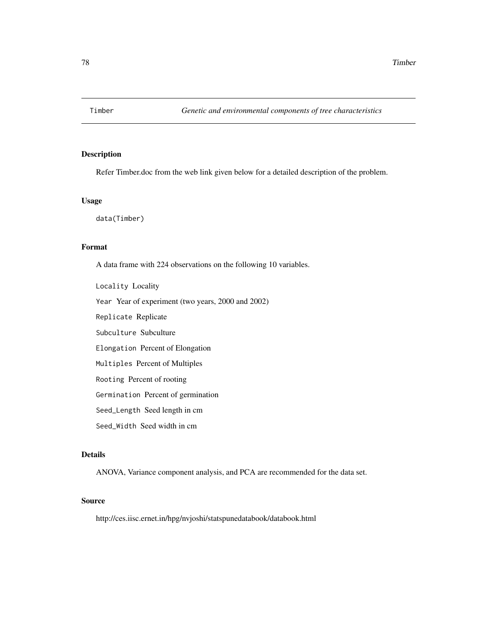<span id="page-77-0"></span>

Refer Timber.doc from the web link given below for a detailed description of the problem.

## Usage

data(Timber)

# Format

A data frame with 224 observations on the following 10 variables.

Locality Locality Year Year of experiment (two years, 2000 and 2002) Replicate Replicate Subculture Subculture Elongation Percent of Elongation Multiples Percent of Multiples Rooting Percent of rooting Germination Percent of germination Seed\_Length Seed length in cm Seed\_Width Seed width in cm

# Details

ANOVA, Variance component analysis, and PCA are recommended for the data set.

# Source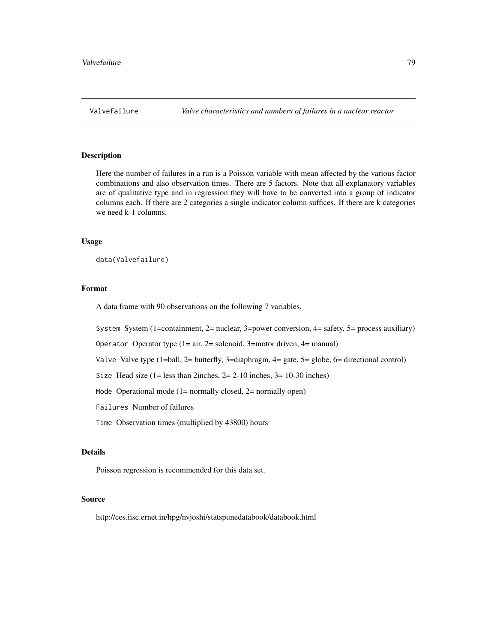<span id="page-78-0"></span>

Here the number of failures in a run is a Poisson variable with mean affected by the various factor combinations and also observation times. There are 5 factors. Note that all explanatory variables are of qualitative type and in regression they will have to be converted into a group of indicator columns each. If there are 2 categories a single indicator column suffices. If there are k categories we need k-1 columns.

#### Usage

data(Valvefailure)

#### Format

A data frame with 90 observations on the following 7 variables.

System System (1=containment,  $2$ = nuclear, 3=power conversion,  $4$ = safety,  $5$ = process auxiliary)

Operator Operator type  $(1 = air, 2 = solenoid, 3 = motor driven, 4 = manual)$ 

Valve Valve type (1=ball, 2= butterfly, 3=diaphragm, 4= gate, 5= globe, 6= directional control)

Size Head size  $(1 = \text{less than 2} \text{inches}, 2 = 2-10 \text{inches}, 3 = 10-30 \text{inches})$ 

Mode Operational mode  $(1=$  normally closed,  $2=$  normally open)

Failures Number of failures

Time Observation times (multiplied by 43800) hours

## Details

Poisson regression is recommended for this data set.

# Source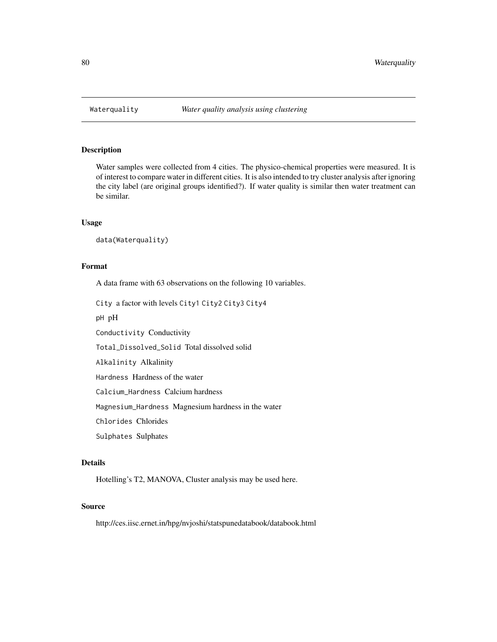<span id="page-79-0"></span>

Water samples were collected from 4 cities. The physico-chemical properties were measured. It is of interest to compare water in different cities. It is also intended to try cluster analysis after ignoring the city label (are original groups identified?). If water quality is similar then water treatment can be similar.

## Usage

```
data(Waterquality)
```
## Format

A data frame with 63 observations on the following 10 variables.

City a factor with levels City1 City2 City3 City4

pH pH

Conductivity Conductivity

Total\_Dissolved\_Solid Total dissolved solid

Alkalinity Alkalinity

Hardness Hardness of the water

Calcium\_Hardness Calcium hardness

Magnesium\_Hardness Magnesium hardness in the water

Chlorides Chlorides

Sulphates Sulphates

## Details

Hotelling's T2, MANOVA, Cluster analysis may be used here.

#### Source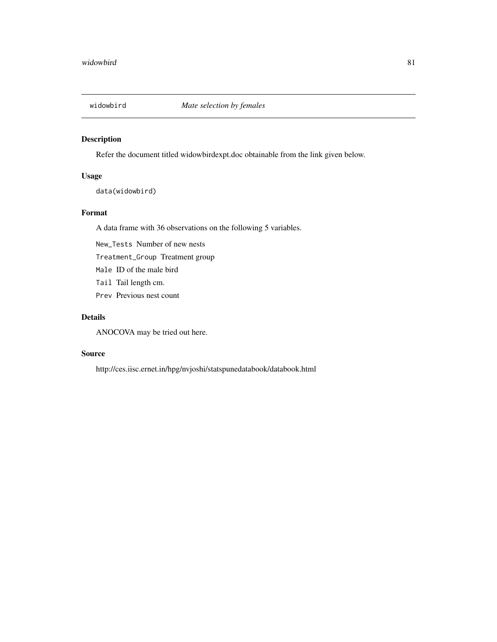<span id="page-80-0"></span>

Refer the document titled widowbirdexpt.doc obtainable from the link given below.

# Usage

data(widowbird)

# Format

A data frame with 36 observations on the following 5 variables.

New\_Tests Number of new nests

Treatment\_Group Treatment group

Male ID of the male bird

Tail Tail length cm.

Prev Previous nest count

# Details

ANOCOVA may be tried out here.

# Source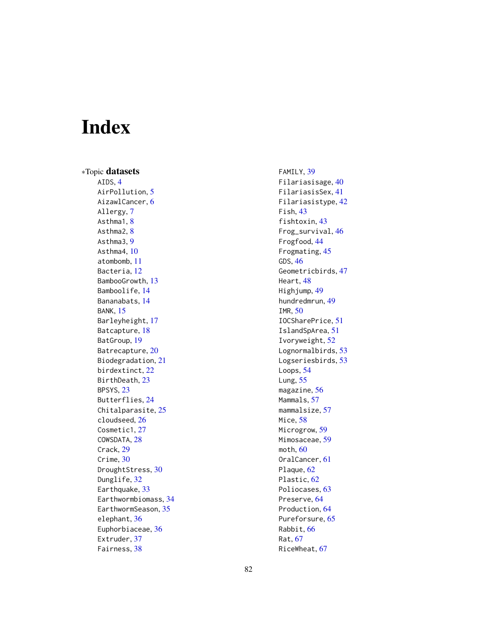# Index

∗Topic datasets AIDS, [4](#page-3-0) AirPollution, [5](#page-4-0) AizawlCancer, <mark>[6](#page-5-0)</mark> Allergy , [7](#page-6-0) Asthma1, [8](#page-7-0) Asthma2, [8](#page-7-0) Asthma3, [9](#page-8-0) Asthma4 , [10](#page-9-0) atombomb , [11](#page-10-0) Bacteria, [12](#page-11-0) BambooGrowth , [13](#page-12-0) Bamboolife , [14](#page-13-0) Bananabats , [14](#page-13-0) BANK , [15](#page-14-0) Barleyheight, [17](#page-16-0) Batcapture, [18](#page-17-0) BatGroup, [19](#page-18-0) Batrecapture, [20](#page-19-0) Biodegradation , [21](#page-20-0) birdextinct , [22](#page-21-0) BirthDeath , [23](#page-22-0) BPSYS , [23](#page-22-0) Butterflies , [24](#page-23-0) Chitalparasite, [25](#page-24-0) cloudseed , [26](#page-25-0) Cosmetic1, [27](#page-26-0) COWSDATA , [28](#page-27-0) Crack , [29](#page-28-0) Crime, [30](#page-29-0) DroughtStress, [30](#page-29-0) Dunglife, [32](#page-31-0) Earthquake , [33](#page-32-0) Earthwormbiomass , [34](#page-33-0) EarthwormSeason, [35](#page-34-0) elephant , [36](#page-35-0) Euphorbiaceae, [36](#page-35-0) Extruder, [37](#page-36-0) Fairness , [38](#page-37-0)

FAMILY, [39](#page-38-0) Filariasisage , [40](#page-39-0) FilariasisSex , [41](#page-40-0) Filariasistype , [42](#page-41-0) Fish, [43](#page-42-0) fishtoxin , [43](#page-42-0) Frog\_survival , [46](#page-45-0) Frogfood , [44](#page-43-0) Frogmating, [45](#page-44-0) GDS , [46](#page-45-0) Geometricbirds , [47](#page-46-0) Heart , [48](#page-47-0) Highjump, [49](#page-48-0) hundredmrun , [49](#page-48-0) IMR , [50](#page-49-0) IOCSharePrice , [51](#page-50-0) IslandSpArea , [51](#page-50-0) Ivoryweight , [52](#page-51-0) Lognormalbirds, [53](#page-52-0) Logseriesbirds , [53](#page-52-0) Loops, [54](#page-53-0) Lung, [55](#page-54-0) magazine , [56](#page-55-0) Mammals, [57](#page-56-0) mammalsize, [57](#page-56-0) Mice, <mark>[58](#page-57-0)</mark> Microgrow , [59](#page-58-0) Mimosaceae , [59](#page-58-0) moth , [60](#page-59-0) OralCancer , [61](#page-60-0) Plaque, [62](#page-61-0) Plastic, [62](#page-61-0) Poliocases, [63](#page-62-0) Preserve, <mark>[64](#page-63-0)</mark> Production , [64](#page-63-0) Pureforsure, [65](#page-64-0) Rabbit , [66](#page-65-0) Rat , [67](#page-66-0) RiceWheat , [67](#page-66-0)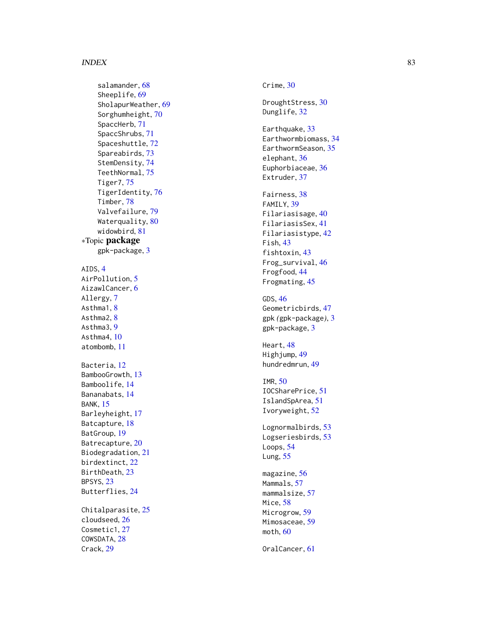#### INDEX  $83$

salamander, [68](#page-67-0) Sheeplife, [69](#page-68-0) SholapurWeather , [69](#page-68-0) Sorghumheight , [70](#page-69-0) SpaccHerb , [71](#page-70-0) SpaccShrubs , [71](#page-70-0) Spaceshuttle, [72](#page-71-0) Spareabirds , [73](#page-72-0) StemDensity , [74](#page-73-0) TeethNormal , [75](#page-74-0) Tiger7 , [75](#page-74-0) TigerIdentity , [76](#page-75-0) Timber , [78](#page-77-0) Valvefailure, [79](#page-78-0) Waterquality,  $80$ widowbird , [81](#page-80-0) ∗Topic package gpk-package, [3](#page-2-0) AIDS , [4](#page-3-0) AirPollution, [5](#page-4-0) AizawlCancer, <mark>[6](#page-5-0)</mark> Allergy , [7](#page-6-0) Asthma1, [8](#page-7-0) Asthma2, [8](#page-7-0) Asthma3 , [9](#page-8-0) Asthma4 , [10](#page-9-0) atombomb , [11](#page-10-0) Bacteria, [12](#page-11-0) BambooGrowth, [13](#page-12-0) Bamboolife , [14](#page-13-0) Bananabats , [14](#page-13-0) BANK, [15](#page-14-0) Barleyheight, [17](#page-16-0) Batcapture, [18](#page-17-0) BatGroup , [19](#page-18-0) Batrecapture, [20](#page-19-0) Biodegradation , [21](#page-20-0) birdextinct , [22](#page-21-0) BirthDeath, [23](#page-22-0) BPSYS , [23](#page-22-0) Butterflies , [24](#page-23-0) Chitalparasite, [25](#page-24-0) cloudseed , [26](#page-25-0) Cosmetic1, [27](#page-26-0) COWSDATA, [28](#page-27-0) Crack , [29](#page-28-0)

Crime, [30](#page-29-0)

DroughtStress, [30](#page-29-0) Dunglife, [32](#page-31-0)

Earthquake, [33](#page-32-0) Earthwormbiomass , [34](#page-33-0) EarthwormSeason, [35](#page-34-0) elephant , [36](#page-35-0) Euphorbiaceae, [36](#page-35-0) Extruder, [37](#page-36-0)

Fairness, [38](#page-37-0) FAMILY, [39](#page-38-0) Filariasisage , [40](#page-39-0) FilariasisSex , [41](#page-40-0) Filariasistype , [42](#page-41-0) Fish , [43](#page-42-0) fishtoxin , [43](#page-42-0) Frog\_survival, [46](#page-45-0) Frogfood , [44](#page-43-0) Frogmating, [45](#page-44-0)

GDS , [46](#page-45-0) Geometricbirds , [47](#page-46-0) gpk *(*gpk-package *)* , [3](#page-2-0) gpk-package, <mark>[3](#page-2-0)</mark>

Heart , [48](#page-47-0) Highjump , [49](#page-48-0) hundredmrun , [49](#page-48-0)

IMR , [50](#page-49-0) IOCSharePrice , [51](#page-50-0) IslandSpArea , [51](#page-50-0) Ivoryweight , [52](#page-51-0)

Lognormalbirds, [53](#page-52-0) Logseriesbirds, [53](#page-52-0) Loops, [54](#page-53-0) Lung, [55](#page-54-0)

magazine , [56](#page-55-0) Mammals, [57](#page-56-0) mammalsize, [57](#page-56-0) Mice, <mark>[58](#page-57-0)</mark> Microgrow , [59](#page-58-0) Mimosaceae , [59](#page-58-0) moth , [60](#page-59-0)

OralCancer , [61](#page-60-0)